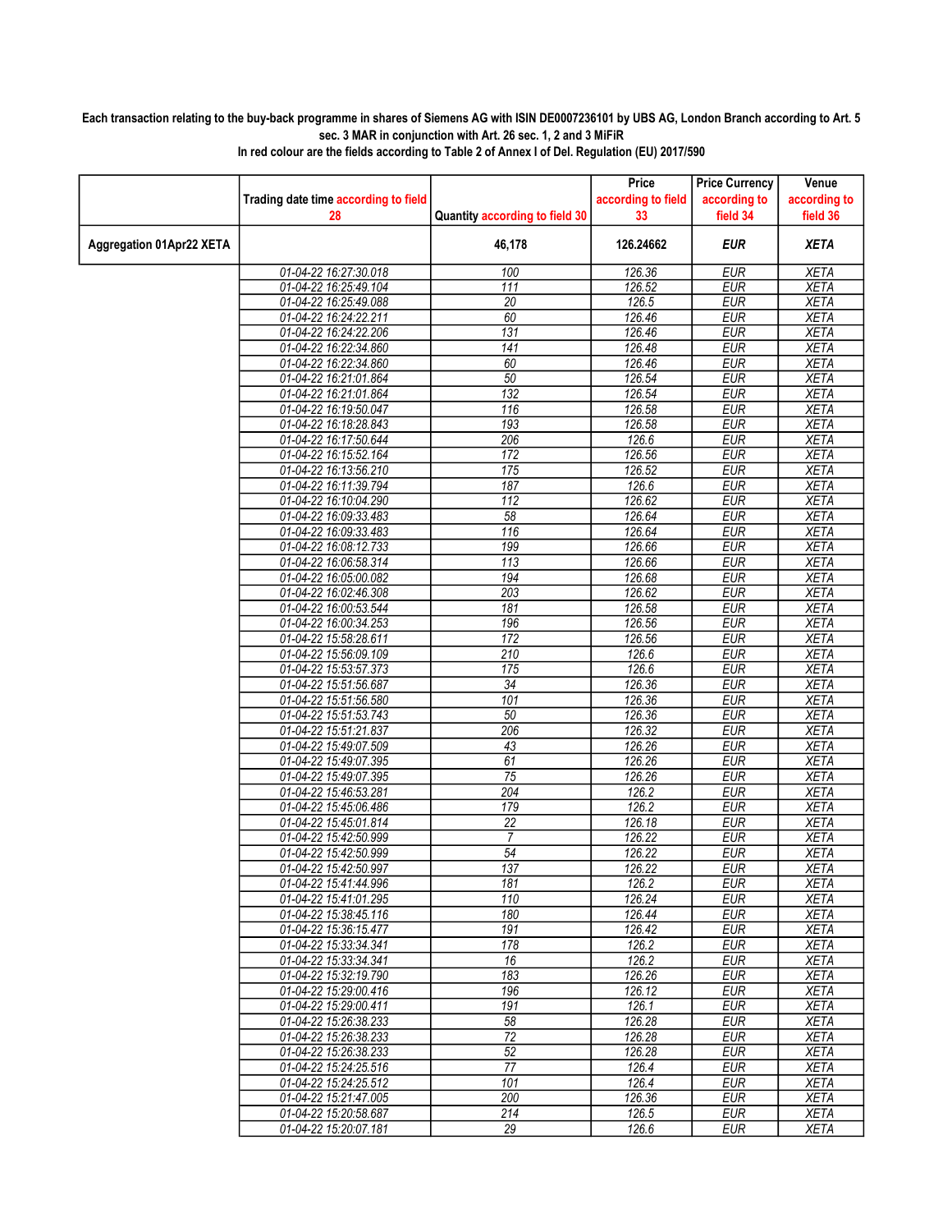## Each transaction relating to the buy-back programme in shares of Siemens AG with ISIN DE0007236101 by UBS AG, London Branch according to Art. 5 sec. 3 MAR in conjunction with Art. 26 sec. 1, 2 and 3 MiFiR

|                          |                                                |                                | Price              | <b>Price Currency</b>    | Venue                      |
|--------------------------|------------------------------------------------|--------------------------------|--------------------|--------------------------|----------------------------|
|                          | Trading date time according to field           |                                | according to field | according to             | according to               |
|                          | 28                                             | Quantity according to field 30 | 33                 | field 34                 | field 36                   |
| Aggregation 01Apr22 XETA |                                                | 46,178                         | 126.24662          | <b>EUR</b>               | <b>XETA</b>                |
|                          | 01-04-22 16:27:30.018                          | 100                            | 126.36             | <b>EUR</b>               | <b>XETA</b>                |
|                          | 01-04-22 16:25:49.104                          | $\overline{111}$               | 126.52             | <b>EUR</b>               | <b>XETA</b>                |
|                          | 01-04-22 16:25:49.088                          | $\overline{20}$                | 126.5              | <b>EUR</b>               | <b>XETA</b>                |
|                          | 01-04-22 16:24:22.211                          | 60                             | 126.46             | <b>EUR</b>               | <b>XETA</b>                |
|                          | 01-04-22 16:24:22.206                          | 131                            | 126.46             | <b>EUR</b>               | <b>XETA</b>                |
|                          | 01-04-22 16:22:34.860                          | 141                            | 126.48             | <b>EUR</b>               | <b>XETA</b>                |
|                          | 01-04-22 16:22:34.860                          | 60                             | 126.46             | <b>EUR</b>               | <b>XETA</b>                |
|                          | 01-04-22 16:21:01.864                          | 50                             | 126.54             | <b>EUR</b>               | <b>XETA</b>                |
|                          | 01-04-22 16:21:01.864                          | 132                            | 126.54             | <b>EUR</b>               | <b>XETA</b>                |
|                          | 01-04-22 16:19:50.047                          | 116                            | 126.58             | <b>EUR</b>               | <b>XETA</b>                |
|                          | 01-04-22 16:18:28.843                          | 193                            | 126.58             | <b>EUR</b>               | <b>XETA</b>                |
|                          | 01-04-22 16:17:50.644                          | 206                            | 126.6              | <b>EUR</b>               | <b>XETA</b>                |
|                          | 01-04-22 16:15:52.164                          | 172                            | 126.56             | <b>EUR</b>               | <b>XETA</b>                |
|                          | 01-04-22 16:13:56.210                          | 175                            | 126.52             | <b>EUR</b>               | <b>XETA</b>                |
|                          | 01-04-22 16:11:39.794                          | 187                            | 126.6              | <b>EUR</b>               | <b>XETA</b>                |
|                          | 01-04-22 16:10:04.290<br>01-04-22 16:09:33.483 | 112<br>58                      | 126.62<br>126.64   | <b>EUR</b><br><b>EUR</b> | <b>XETA</b><br><b>XETA</b> |
|                          |                                                | 116                            | 126.64             | EUR                      | <b>XETA</b>                |
|                          | 01-04-22 16:09:33.483                          | 199                            |                    | <b>EUR</b>               | <b>XETA</b>                |
|                          | 01-04-22 16:08:12.733<br>01-04-22 16:06:58.314 | $\overline{113}$               | 126.66<br>126.66   | EUR                      | <b>XETA</b>                |
|                          | 01-04-22 16:05:00.082                          | 194                            | 126.68             | <b>EUR</b>               | <b>XETA</b>                |
|                          | 01-04-22 16:02:46.308                          | 203                            | 126.62             | <b>EUR</b>               | <b>XETA</b>                |
|                          | 01-04-22 16:00:53.544                          | 181                            | 126.58             | <b>EUR</b>               | <b>XETA</b>                |
|                          | 01-04-22 16:00:34.253                          | 196                            | 126.56             | <b>EUR</b>               | <b>XETA</b>                |
|                          | 01-04-22 15:58:28.611                          | 172                            | 126.56             | <b>EUR</b>               | <b>XETA</b>                |
|                          | 01-04-22 15:56:09.109                          | 210                            | 126.6              | <b>EUR</b>               | <b>XETA</b>                |
|                          | 01-04-22 15:53:57.373                          | 175                            | 126.6              | <b>EUR</b>               | <b>XETA</b>                |
|                          | 01-04-22 15:51:56.687                          | $\overline{34}$                | 126.36             | <b>EUR</b>               | <b>XETA</b>                |
|                          | 01-04-22 15:51:56.580                          | 101                            | 126.36             | <b>EUR</b>               | <b>XETA</b>                |
|                          | 01-04-22 15:51:53.743                          | 50                             | 126.36             | <b>EUR</b>               | <b>XETA</b>                |
|                          | 01-04-22 15:51:21.837                          | 206                            | 126.32             | <b>EUR</b>               | <b>XETA</b>                |
|                          | 01-04-22 15:49:07.509                          | 43                             | 126.26             | <b>EUR</b>               | <b>XETA</b>                |
|                          | 01-04-22 15:49:07.395                          | 61                             | 126.26             | <b>EUR</b>               | <b>XETA</b>                |
|                          | 01-04-22 15:49:07.395                          | 75                             | 126.26             | <b>EUR</b>               | <b>XETA</b>                |
|                          | 01-04-22 15:46:53.281                          | 204                            | 126.2              | <b>EUR</b>               | <b>XETA</b>                |
|                          | 01-04-22 15:45:06.486                          | 179                            | 126.2              | <b>EUR</b>               | <b>XETA</b>                |
|                          | 01-04-22 15:45:01.814                          | 22                             | 126.18             | <b>EUR</b>               | <b>XETA</b>                |
|                          | 01-04-22 15:42:50.999                          | 7                              | 126.22             | <b>EUR</b>               | <b>XETA</b>                |
|                          | 01-04-22 15:42:50.999                          | $\overline{54}$                | 126.22             | <b>EUR</b>               | <b>XETA</b>                |
|                          | 01-04-22 15:42:50.997                          | 137                            | 126.22             | <b>EUR</b>               | <b>XETA</b>                |
|                          | 01-04-22 15:41:44.996                          | 181<br>110                     | 126.2              | EUR                      | XETA                       |
|                          | 01-04-22 15:41:01.295                          |                                | 126.24             | <b>EUR</b>               | <b>XETA</b>                |
|                          | 01-04-22 15:38:45.116<br>01-04-22 15:36:15.477 | 180<br>191                     | 126.44<br>126.42   | <b>EUR</b><br><b>EUR</b> | <b>XETA</b><br><b>XETA</b> |
|                          | 01-04-22 15:33:34.341                          | 178                            | 126.2              | <b>EUR</b>               | <b>XETA</b>                |
|                          | 01-04-22 15:33:34.341                          | 16                             | 126.2              | <b>EUR</b>               | XETA                       |
|                          | 01-04-22 15:32:19.790                          | 183                            | 126.26             | <b>EUR</b>               | <b>XETA</b>                |
|                          | 01-04-22 15:29:00.416                          | 196                            | 126.12             | <b>EUR</b>               | <b>XETA</b>                |
|                          | 01-04-22 15:29:00.411                          | 191                            | 126.1              | <b>EUR</b>               | <b>XETA</b>                |
|                          | 01-04-22 15:26:38.233                          | 58                             | 126.28             | <b>EUR</b>               | <b>XETA</b>                |
|                          | 01-04-22 15:26:38.233                          | $\overline{72}$                | 126.28             | <b>EUR</b>               | <b>XETA</b>                |
|                          | 01-04-22 15:26:38.233                          | 52                             | 126.28             | <b>EUR</b>               | <b>XETA</b>                |
|                          | 01-04-22 15:24:25.516                          | $\overline{77}$                | 126.4              | <b>EUR</b>               | <b>XETA</b>                |
|                          | 01-04-22 15:24:25.512                          | 101                            | 126.4              | <b>EUR</b>               | <b>XETA</b>                |
|                          | 01-04-22 15:21:47.005                          | 200                            | 126.36             | <b>EUR</b>               | <b>XETA</b>                |
|                          | 01-04-22 15:20:58.687                          | 214                            | 126.5              | <b>EUR</b>               | <b>XETA</b>                |
|                          | 01-04-22 15:20:07.181                          | 29                             | 126.6              | EUR                      | XETA                       |

In red colour are the fields according to Table 2 of Annex I of Del. Regulation (EU) 2017/590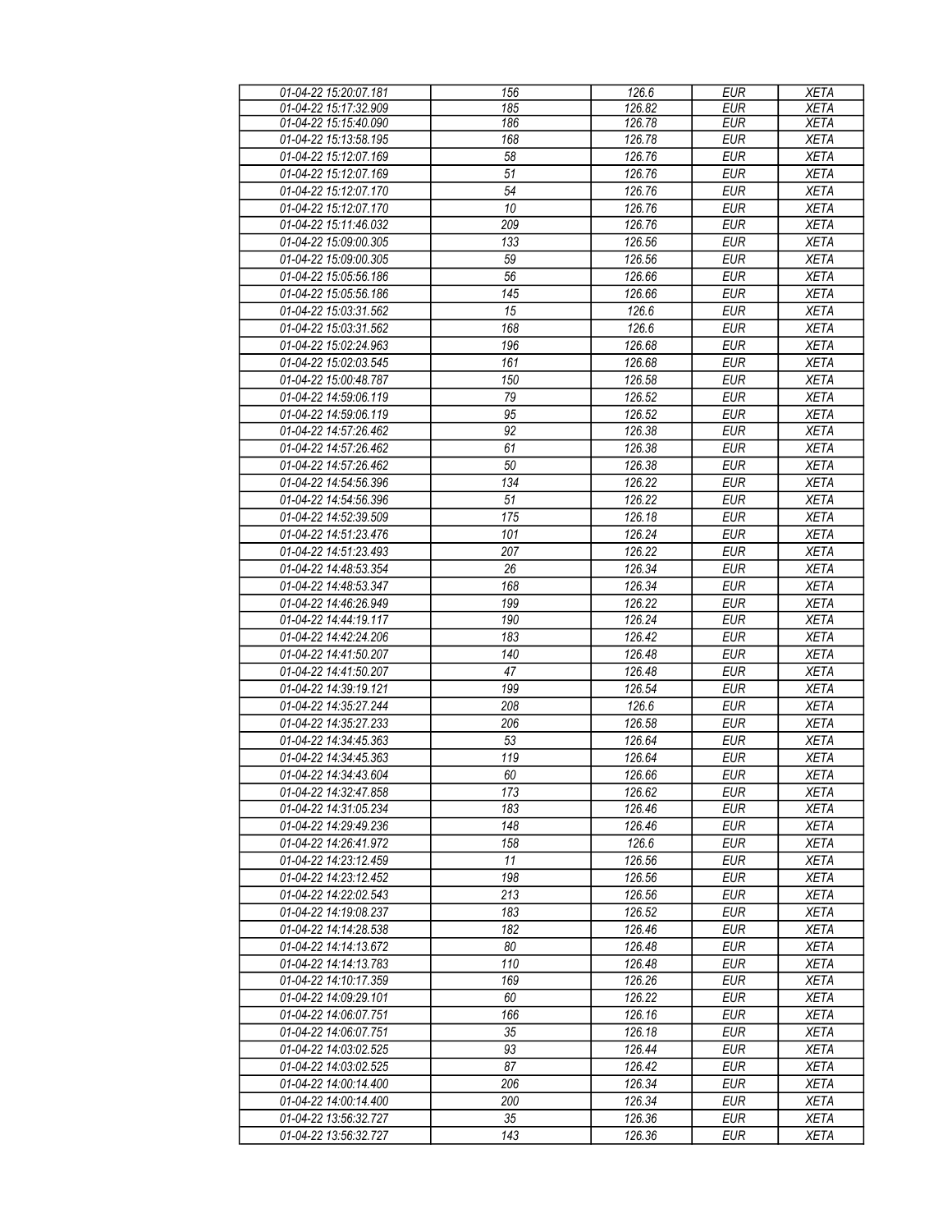| 01-04-22 15:20:07.181 | 156             | 126.6  | <b>EUR</b> | <b>XETA</b> |
|-----------------------|-----------------|--------|------------|-------------|
| 01-04-22 15:17:32.909 | 185             | 126.82 | <b>EUR</b> | <b>XETA</b> |
| 01-04-22 15:15:40.090 | 186             | 126.78 | <b>EUR</b> | <b>XETA</b> |
|                       | 168             | 126.78 | <b>EUR</b> |             |
| 01-04-22 15:13:58.195 |                 |        |            | <b>XETA</b> |
| 01-04-22 15:12:07.169 | $\overline{58}$ | 126.76 | <b>EUR</b> | <b>XETA</b> |
| 01-04-22 15:12:07.169 | 51              | 126.76 | <b>EUR</b> | <b>XETA</b> |
| 01-04-22 15:12:07.170 | 54              | 126.76 | <b>EUR</b> | <b>XETA</b> |
| 01-04-22 15:12:07.170 | 10              | 126.76 | <b>EUR</b> | <b>XETA</b> |
| 01-04-22 15:11:46.032 | 209             | 126.76 | <b>EUR</b> | <b>XETA</b> |
|                       |                 |        |            |             |
| 01-04-22 15:09:00.305 | 133             | 126.56 | <b>EUR</b> | <b>XETA</b> |
| 01-04-22 15:09:00.305 | 59              | 126.56 | <b>EUR</b> | <b>XETA</b> |
| 01-04-22 15:05:56.186 | 56              | 126.66 | <b>EUR</b> | <b>XETA</b> |
| 01-04-22 15:05:56.186 | 145             | 126.66 | <b>EUR</b> | <b>XETA</b> |
| 01-04-22 15:03:31.562 | 15              | 126.6  | <b>EUR</b> | <b>XETA</b> |
| 01-04-22 15:03:31.562 | 168             | 126.6  | <b>EUR</b> | <b>XETA</b> |
| 01-04-22 15:02:24.963 | 196             | 126.68 | <b>EUR</b> | <b>XETA</b> |
|                       |                 |        |            |             |
| 01-04-22 15:02:03.545 | 161             | 126.68 | <b>EUR</b> | <b>XETA</b> |
| 01-04-22 15:00:48.787 | 150             | 126.58 | <b>EUR</b> | <b>XETA</b> |
| 01-04-22 14:59:06.119 | 79              | 126.52 | <b>EUR</b> | <b>XETA</b> |
| 01-04-22 14:59:06.119 | 95              | 126.52 | <b>EUR</b> | <b>XETA</b> |
| 01-04-22 14:57:26.462 | 92              | 126.38 | <b>EUR</b> | <b>XETA</b> |
| 01-04-22 14:57:26.462 | 61              | 126.38 | <b>EUR</b> | <b>XETA</b> |
| 01-04-22 14:57:26.462 | 50              | 126.38 | <b>EUR</b> | <b>XETA</b> |
| 01-04-22 14:54:56.396 | 134             | 126.22 | <b>EUR</b> | <b>XETA</b> |
|                       |                 |        |            |             |
| 01-04-22 14:54:56.396 | $\overline{51}$ | 126.22 | <b>EUR</b> | <b>XETA</b> |
| 01-04-22 14:52:39.509 | 175             | 126.18 | <b>EUR</b> | <b>XETA</b> |
| 01-04-22 14:51:23.476 | 101             | 126.24 | <b>EUR</b> | <b>XETA</b> |
| 01-04-22 14:51:23.493 | 207             | 126.22 | <b>EUR</b> | <b>XETA</b> |
| 01-04-22 14:48:53.354 | 26              | 126.34 | <b>EUR</b> | <b>XETA</b> |
| 01-04-22 14:48:53.347 | 168             | 126.34 | <b>EUR</b> | <b>XETA</b> |
| 01-04-22 14:46:26.949 | 199             | 126.22 | <b>EUR</b> | <b>XETA</b> |
|                       |                 |        |            |             |
| 01-04-22 14:44:19.117 | 190             | 126.24 | <b>EUR</b> | <b>XETA</b> |
| 01-04-22 14:42:24.206 | 183             | 126.42 | <b>EUR</b> | <b>XETA</b> |
| 01-04-22 14:41:50.207 | 140             | 126.48 | <b>EUR</b> | <b>XETA</b> |
| 01-04-22 14:41:50.207 | 47              | 126.48 | <b>EUR</b> | <b>XETA</b> |
| 01-04-22 14:39:19.121 | 199             | 126.54 | <b>EUR</b> | <b>XETA</b> |
| 01-04-22 14:35:27.244 | 208             | 126.6  | <b>EUR</b> | <b>XETA</b> |
| 01-04-22 14:35:27.233 | 206             | 126.58 | <b>EUR</b> | <b>XETA</b> |
| 01-04-22 14:34:45.363 |                 |        |            |             |
|                       | 53              | 126.64 | <b>EUR</b> | <b>XETA</b> |
| 01-04-22 14:34:45.363 | 119             | 126.64 | <b>EUR</b> | <b>XETA</b> |
| 01-04-22 14:34:43.604 | 60              | 126.66 | <b>EUR</b> | <b>XETA</b> |
| 01-04-22 14:32:47.858 | 173             | 126.62 | <b>EUR</b> | <b>XETA</b> |
| 01-04-22 14:31:05.234 | 183             | 126.46 | <b>EUR</b> | <b>XETA</b> |
| 01-04-22 14:29:49.236 | 148             | 126.46 | <b>EUR</b> | <b>XETA</b> |
| 01-04-22 14:26:41.972 | 158             | 126.6  | <b>EUR</b> | <b>XETA</b> |
| 01-04-22 14:23:12.459 | 11              | 126.56 | <b>EUR</b> | <b>XETA</b> |
| 01-04-22 14:23:12.452 |                 | 126.56 |            | <b>XETA</b> |
|                       | 198             |        | <b>EUR</b> |             |
| 01-04-22 14:22:02.543 | 213             | 126.56 | <b>EUR</b> | <b>XETA</b> |
| 01-04-22 14:19:08.237 | 183             | 126.52 | <b>EUR</b> | <b>XETA</b> |
| 01-04-22 14:14:28.538 | 182             | 126.46 | <b>EUR</b> | <b>XETA</b> |
| 01-04-22 14:14:13.672 | 80              | 126.48 | <b>EUR</b> | <b>XETA</b> |
| 01-04-22 14:14:13.783 | 110             | 126.48 | <b>EUR</b> | <b>XETA</b> |
| 01-04-22 14:10:17.359 | 169             | 126.26 | <b>EUR</b> | <b>XETA</b> |
| 01-04-22 14:09:29.101 | 60              | 126.22 | <b>EUR</b> | <b>XETA</b> |
| 01-04-22 14:06:07.751 | 166             | 126.16 | <b>EUR</b> | <b>XETA</b> |
|                       |                 |        |            |             |
| 01-04-22 14:06:07.751 | 35              | 126.18 | <b>EUR</b> | <b>XETA</b> |
| 01-04-22 14:03:02.525 | 93              | 126.44 | <b>EUR</b> | <b>XETA</b> |
| 01-04-22 14:03:02.525 | 87              | 126.42 | <b>EUR</b> | <b>XETA</b> |
| 01-04-22 14:00:14.400 | 206             | 126.34 | <b>EUR</b> | <b>XETA</b> |
| 01-04-22 14:00:14.400 | 200             | 126.34 | <b>EUR</b> | <b>XETA</b> |
| 01-04-22 13:56:32.727 | 35              | 126.36 | <b>EUR</b> | <b>XETA</b> |
| 01-04-22 13:56:32.727 | 143             | 126.36 | <b>EUR</b> | <b>XETA</b> |
|                       |                 |        |            |             |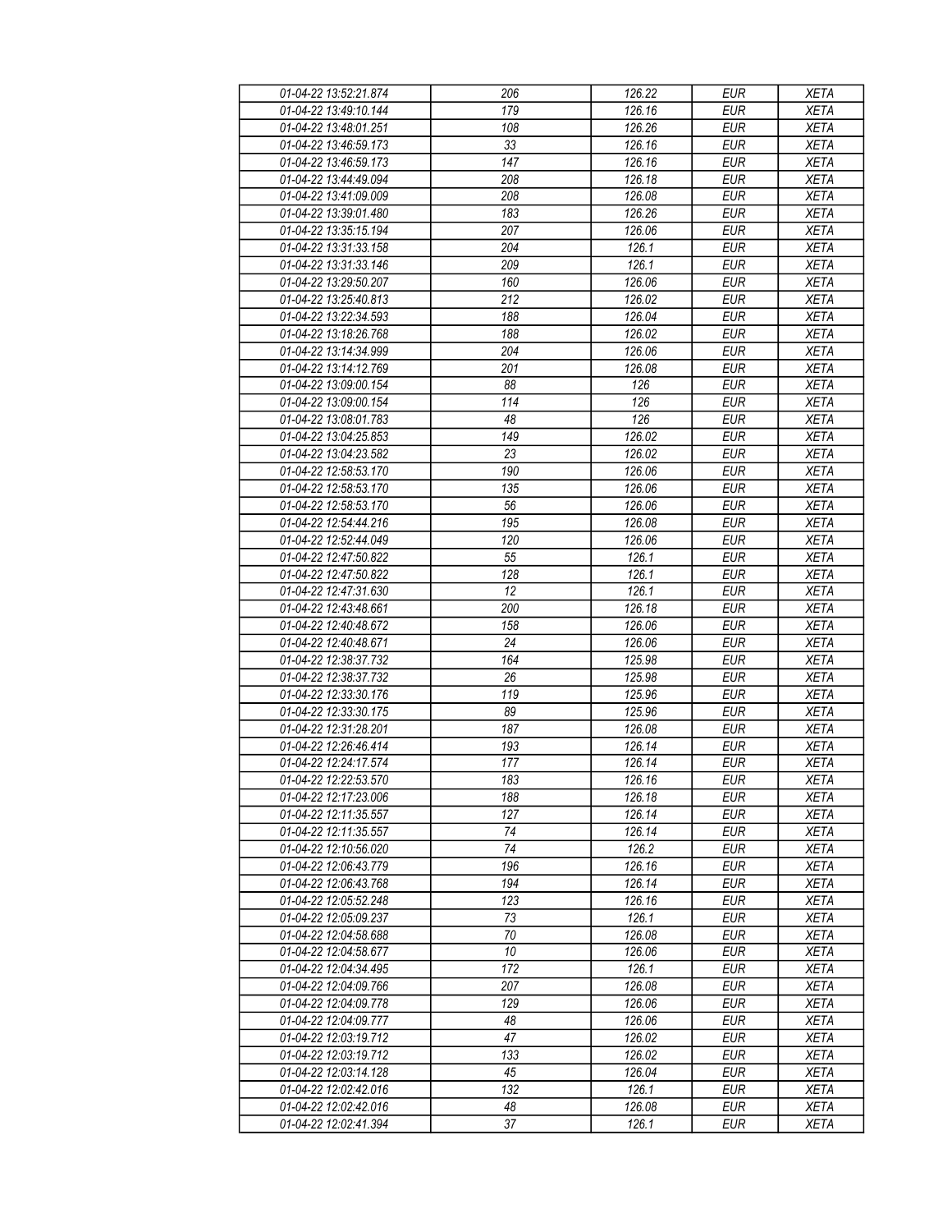| 01-04-22 13:52:21.874 | 206             | 126.22 | <b>EUR</b> | <b>XETA</b> |
|-----------------------|-----------------|--------|------------|-------------|
| 01-04-22 13:49:10.144 | 179             | 126.16 | <b>EUR</b> | <b>XETA</b> |
| 01-04-22 13:48:01.251 | 108             | 126.26 | <b>EUR</b> | <b>XETA</b> |
| 01-04-22 13:46:59.173 | 33              | 126.16 | <b>EUR</b> | <b>XETA</b> |
| 01-04-22 13:46:59.173 | 147             | 126.16 | <b>EUR</b> | <b>XETA</b> |
| 01-04-22 13:44:49.094 | 208             | 126.18 | <b>EUR</b> | <b>XETA</b> |
| 01-04-22 13:41:09.009 | 208             | 126.08 | <b>EUR</b> | <b>XETA</b> |
| 01-04-22 13:39:01.480 | 183             | 126.26 | <b>EUR</b> | <b>XETA</b> |
| 01-04-22 13:35:15.194 | 207             | 126.06 | <b>EUR</b> | <b>XETA</b> |
| 01-04-22 13:31:33.158 | 204             | 126.1  | <b>EUR</b> | <b>XETA</b> |
| 01-04-22 13:31:33.146 | 209             | 126.1  | <b>EUR</b> | <b>XETA</b> |
| 01-04-22 13:29:50.207 | 160             | 126.06 | <b>EUR</b> | <b>XETA</b> |
| 01-04-22 13:25:40.813 | 212             | 126.02 | <b>EUR</b> | <b>XETA</b> |
| 01-04-22 13:22:34.593 | 188             | 126.04 | <b>EUR</b> | <b>XETA</b> |
| 01-04-22 13:18:26.768 | 188             | 126.02 | <b>EUR</b> | <b>XETA</b> |
| 01-04-22 13:14:34.999 | 204             | 126.06 | <b>EUR</b> | <b>XETA</b> |
| 01-04-22 13:14:12.769 | 201             | 126.08 | <b>EUR</b> | <b>XETA</b> |
| 01-04-22 13:09:00.154 | 88              | 126    |            |             |
|                       |                 |        | <b>EUR</b> | <b>XETA</b> |
| 01-04-22 13:09:00.154 | 114             | 126    | <b>EUR</b> | <b>XETA</b> |
| 01-04-22 13:08:01.783 | 48              | 126    | <b>EUR</b> | <b>XETA</b> |
| 01-04-22 13:04:25.853 | 149             | 126.02 | <b>EUR</b> | <b>XETA</b> |
| 01-04-22 13:04:23.582 | 23              | 126.02 | <b>EUR</b> | <b>XETA</b> |
| 01-04-22 12:58:53.170 | 190             | 126.06 | <b>EUR</b> | <b>XETA</b> |
| 01-04-22 12:58:53.170 | 135             | 126.06 | <b>EUR</b> | <b>XETA</b> |
| 01-04-22 12:58:53.170 | 56              | 126.06 | <b>EUR</b> | <b>XETA</b> |
| 01-04-22 12:54:44.216 | 195             | 126.08 | <b>EUR</b> | <b>XETA</b> |
| 01-04-22 12:52:44.049 | 120             | 126.06 | <b>EUR</b> | <b>XETA</b> |
| 01-04-22 12:47:50.822 | $\overline{55}$ | 126.1  | <b>EUR</b> | <b>XETA</b> |
| 01-04-22 12:47:50.822 | 128             | 126.1  | <b>EUR</b> | <b>XETA</b> |
| 01-04-22 12:47:31.630 | 12              | 126.1  | <b>EUR</b> | <b>XETA</b> |
| 01-04-22 12:43:48.661 | 200             | 126.18 | <b>EUR</b> | <b>XETA</b> |
| 01-04-22 12:40:48.672 | 158             | 126.06 | <b>EUR</b> | <b>XETA</b> |
| 01-04-22 12:40:48.671 | 24              | 126.06 | <b>EUR</b> | <b>XETA</b> |
| 01-04-22 12:38:37.732 | 164             | 125.98 | <b>EUR</b> | <b>XETA</b> |
| 01-04-22 12:38:37.732 | 26              | 125.98 | <b>EUR</b> | <b>XETA</b> |
| 01-04-22 12:33:30.176 | 119             | 125.96 | <b>EUR</b> | <b>XETA</b> |
| 01-04-22 12:33:30.175 | 89              | 125.96 | <b>EUR</b> | <b>XETA</b> |
| 01-04-22 12:31:28.201 | 187             | 126.08 | <b>EUR</b> | <b>XETA</b> |
| 01-04-22 12:26:46.414 | 193             | 126.14 | <b>EUR</b> | <b>XETA</b> |
| 01-04-22 12:24:17.574 | 177             | 126.14 | <b>EUR</b> | <b>XETA</b> |
| 01-04-22 12:22:53.570 | 183             | 126.16 | <b>EUR</b> | <b>XETA</b> |
| 01-04-22 12:17:23.006 | 188             | 126.18 | <b>EUR</b> | <b>XETA</b> |
| 01-04-22 12:11:35.557 | 127             | 126.14 | <b>EUR</b> | <b>XETA</b> |
| 01-04-22 12:11:35.557 | 74              | 126.14 | <b>EUR</b> | <b>XETA</b> |
| 01-04-22 12:10:56.020 | 74              | 126.2  | <b>EUR</b> | <b>XETA</b> |
| 01-04-22 12:06:43.779 | 196             | 126.16 | <b>EUR</b> | <b>XETA</b> |
| 01-04-22 12:06:43.768 | 194             | 126.14 | <b>EUR</b> | <b>XETA</b> |
| 01-04-22 12:05:52.248 | 123             | 126.16 | <b>EUR</b> | <b>XETA</b> |
| 01-04-22 12:05:09.237 | 73              | 126.1  | <b>EUR</b> | <b>XETA</b> |
| 01-04-22 12:04:58.688 | 70              | 126.08 | <b>EUR</b> | <b>XETA</b> |
| 01-04-22 12:04:58.677 | 10              | 126.06 | <b>EUR</b> | <b>XETA</b> |
| 01-04-22 12:04:34.495 | 172             | 126.1  | <b>EUR</b> | <b>XETA</b> |
| 01-04-22 12:04:09.766 | 207             | 126.08 | <b>EUR</b> | <b>XETA</b> |
| 01-04-22 12:04:09.778 | 129             | 126.06 | <b>EUR</b> | <b>XETA</b> |
| 01-04-22 12:04:09.777 | 48              | 126.06 | <b>EUR</b> | <b>XETA</b> |
| 01-04-22 12:03:19.712 | 47              | 126.02 | <b>EUR</b> | <b>XETA</b> |
| 01-04-22 12:03:19.712 | 133             | 126.02 | <b>EUR</b> | <b>XETA</b> |
| 01-04-22 12:03:14.128 | 45              | 126.04 | <b>EUR</b> | <b>XETA</b> |
| 01-04-22 12:02:42.016 | 132             | 126.1  | <b>EUR</b> | <b>XETA</b> |
| 01-04-22 12:02:42.016 | 48              | 126.08 | <b>EUR</b> | <b>XETA</b> |
| 01-04-22 12:02:41.394 | 37              | 126.1  | <b>EUR</b> | <b>XETA</b> |
|                       |                 |        |            |             |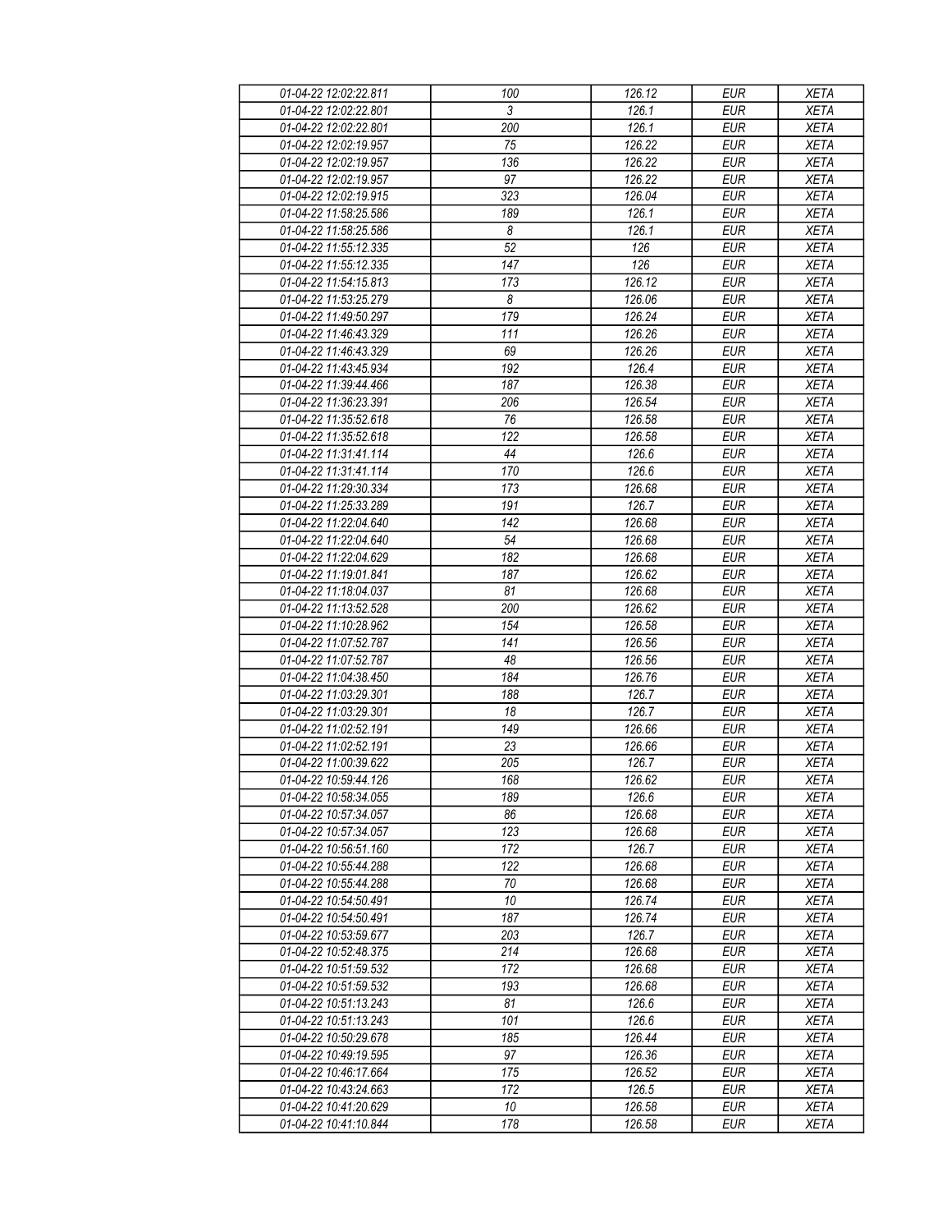| 01-04-22 12:02:22.811 | 100             | 126.12              | <b>EUR</b> | <b>XETA</b> |
|-----------------------|-----------------|---------------------|------------|-------------|
| 01-04-22 12:02:22.801 | 3               | 126.1               | <b>EUR</b> | <b>XETA</b> |
| 01-04-22 12:02:22.801 | 200             | 126.1               | <b>EUR</b> | <b>XETA</b> |
| 01-04-22 12:02:19.957 | 75              | 126.22              | <b>EUR</b> | <b>XETA</b> |
| 01-04-22 12:02:19.957 | 136             | 126.22              | <b>EUR</b> | <b>XETA</b> |
| 01-04-22 12:02:19.957 | 97              | 126.22              | <b>EUR</b> | <b>XETA</b> |
| 01-04-22 12:02:19.915 | 323             | 126.04              | <b>EUR</b> | <b>XETA</b> |
|                       | 189             | 126.1               | <b>EUR</b> | <b>XETA</b> |
| 01-04-22 11:58:25.586 |                 |                     |            |             |
| 01-04-22 11:58:25.586 | 8               | 126.1               | <b>EUR</b> | <b>XETA</b> |
| 01-04-22 11:55:12.335 | $\overline{52}$ | 126                 | <b>EUR</b> | <b>XETA</b> |
| 01-04-22 11:55:12.335 | 147             | 126                 | <b>EUR</b> | <b>XETA</b> |
| 01-04-22 11:54:15.813 | 173             | 126.12              | <b>EUR</b> | <b>XETA</b> |
| 01-04-22 11:53:25.279 | 8               | 126.06              | <b>EUR</b> | <b>XETA</b> |
| 01-04-22 11:49:50.297 | 179             | 126.24              | <b>EUR</b> | <b>XETA</b> |
| 01-04-22 11:46:43.329 | 111             | 126.26              | <b>EUR</b> | <b>XETA</b> |
| 01-04-22 11:46:43.329 | 69              | 126.26              | <b>EUR</b> | <b>XETA</b> |
| 01-04-22 11:43:45.934 | 192             | 126.4               | <b>EUR</b> | <b>XETA</b> |
| 01-04-22 11:39:44.466 | 187             | 126.38              | <b>EUR</b> | <b>XETA</b> |
| 01-04-22 11:36:23.391 | 206             | 126.54              | <b>EUR</b> | <b>XETA</b> |
| 01-04-22 11:35:52.618 | 76              | 126.58              | <b>EUR</b> | <b>XETA</b> |
| 01-04-22 11:35:52.618 | 122             | 126.58              | <b>EUR</b> | <b>XETA</b> |
| 01-04-22 11:31:41.114 | 44              | 126.6               | <b>EUR</b> | <b>XETA</b> |
| 01-04-22 11:31:41.114 | 170             | 126.6               | <b>EUR</b> | <b>XETA</b> |
| 01-04-22 11:29:30.334 | 173             | 126.68              | <b>EUR</b> | <b>XETA</b> |
| 01-04-22 11:25:33.289 | 191             | 126.7               | <b>EUR</b> | <b>XETA</b> |
| 01-04-22 11:22:04.640 | 142             | 126.68              | <b>EUR</b> | <b>XETA</b> |
| 01-04-22 11:22:04.640 | 54              | 126.68              | <b>EUR</b> | <b>XETA</b> |
| 01-04-22 11:22:04.629 | 182             | 126.68              | <b>EUR</b> | <b>XETA</b> |
| 01-04-22 11:19:01.841 | 187             | 126.62              | <b>EUR</b> | <b>XETA</b> |
| 01-04-22 11:18:04.037 | 81              | 126.68              | <b>EUR</b> | <b>XETA</b> |
| 01-04-22 11:13:52.528 | 200             | 126.62              | <b>EUR</b> | <b>XETA</b> |
| 01-04-22 11:10:28.962 | 154             | 126.58              | <b>EUR</b> | <b>XETA</b> |
| 01-04-22 11:07:52.787 | 141             | 126.56              | <b>EUR</b> | <b>XETA</b> |
| 01-04-22 11:07:52.787 | 48              | 126.56              | <b>EUR</b> | <b>XETA</b> |
| 01-04-22 11:04:38.450 | 184             | 126.76              | <b>EUR</b> | <b>XETA</b> |
| 01-04-22 11:03:29.301 |                 | 126.7               |            | <b>XETA</b> |
| 01-04-22 11:03:29.301 | 188             |                     | <b>EUR</b> |             |
|                       | 18              | 126.7               | <b>EUR</b> | <b>XETA</b> |
| 01-04-22 11:02:52.191 | 149             | 126.66              | <b>EUR</b> | <b>XETA</b> |
| 01-04-22 11:02:52.191 | 23              | 126.66              | <b>EUR</b> | <b>XETA</b> |
| 01-04-22 11:00:39.622 | 205             | 126.7               | <b>EUR</b> | <b>XETA</b> |
| 01-04-22 10:59:44.126 | 168             | 126.62              | <b>EUR</b> | <b>XETA</b> |
| 01-04-22 10:58:34.055 | 189             | 126.6               | <b>EUR</b> | <b>XETA</b> |
| 01-04-22 10:57:34.057 | 86              | 126.68              | <b>EUR</b> | <b>XETA</b> |
| 01-04-22 10:57:34.057 | 123             | 126.68              | <b>EUR</b> | <b>XETA</b> |
| 01-04-22 10:56:51.160 | 172             | 126.7               | <b>EUR</b> | <b>XETA</b> |
| 01-04-22 10:55:44.288 | 122             | 126.68              | <b>EUR</b> | <b>XETA</b> |
| 01-04-22 10:55:44.288 | 70              | 126.68              | <b>EUR</b> | <b>XETA</b> |
| 01-04-22 10:54:50.491 | 10              | 126.74              | <b>EUR</b> | <b>XETA</b> |
| 01-04-22 10:54:50.491 | 187             | 126.74              | <b>EUR</b> | <b>XETA</b> |
| 01-04-22 10:53:59.677 | 203             | 126.7               | <b>EUR</b> | <b>XETA</b> |
| 01-04-22 10:52:48.375 | 214             | 126.68              | <b>EUR</b> | <b>XETA</b> |
| 01-04-22 10:51:59.532 | 172             | 126.68              | <b>EUR</b> | <b>XETA</b> |
| 01-04-22 10:51:59.532 | 193             | 126.68              | <b>EUR</b> | <b>XETA</b> |
| 01-04-22 10:51:13.243 | 81              | 126.6               | <b>EUR</b> | <b>XETA</b> |
| 01-04-22 10:51:13.243 | 101             | 126.6               | <b>EUR</b> | <b>XETA</b> |
| 01-04-22 10:50:29.678 | 185             | 126.44              | <b>EUR</b> | <b>XETA</b> |
| 01-04-22 10:49:19.595 | 97              | 126.36              | <b>EUR</b> | <b>XETA</b> |
| 01-04-22 10:46:17.664 | 175             | $\overline{126.52}$ | <b>EUR</b> | <b>XETA</b> |
| 01-04-22 10:43:24.663 | 172             | 126.5               | <b>EUR</b> | <b>XETA</b> |
| 01-04-22 10:41:20.629 | 10              | 126.58              | <b>EUR</b> | <b>XETA</b> |
| 01-04-22 10:41:10.844 | 178             | 126.58              | <b>EUR</b> | <b>XETA</b> |
|                       |                 |                     |            |             |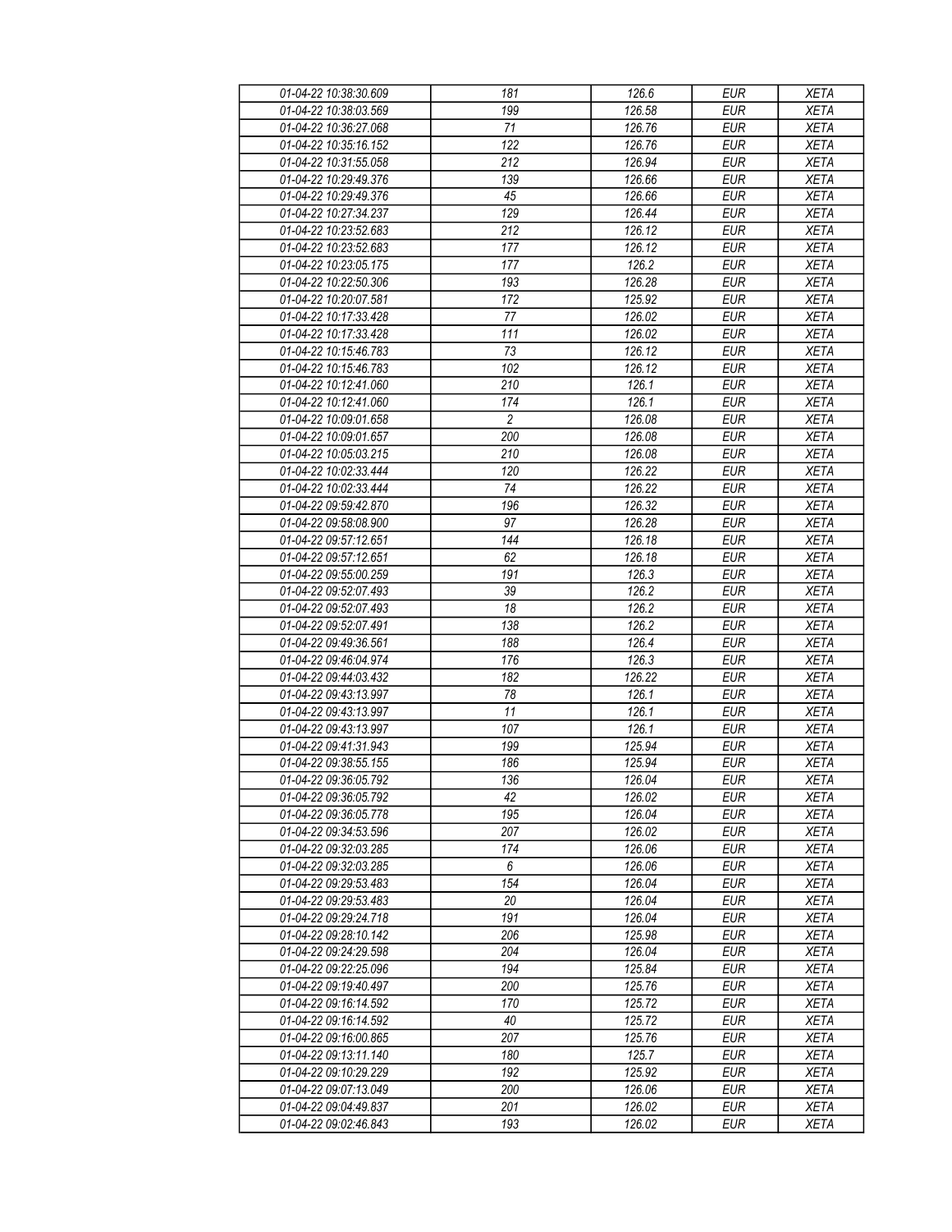| 01-04-22 10:38:30.609 | 181              | 126.6               | <b>EUR</b> | <b>XETA</b> |
|-----------------------|------------------|---------------------|------------|-------------|
| 01-04-22 10:38:03.569 | 199              | 126.58              | <b>EUR</b> | <b>XETA</b> |
| 01-04-22 10:36:27.068 | 71               | 126.76              | <b>EUR</b> | <b>XETA</b> |
| 01-04-22 10:35:16.152 | 122              | 126.76              | <b>EUR</b> | <b>XETA</b> |
| 01-04-22 10:31:55.058 | 212              | 126.94              | <b>EUR</b> | <b>XETA</b> |
| 01-04-22 10:29:49.376 | 139              | 126.66              | <b>EUR</b> | <b>XETA</b> |
| 01-04-22 10:29:49.376 | 45               | 126.66              | <b>EUR</b> | <b>XETA</b> |
| 01-04-22 10:27:34.237 | 129              | 126.44              | <b>EUR</b> | <b>XETA</b> |
| 01-04-22 10:23:52.683 | 212              | 126.12              | <b>EUR</b> | <b>XETA</b> |
| 01-04-22 10:23:52.683 | 177              | 126.12              | <b>EUR</b> | <b>XETA</b> |
| 01-04-22 10:23:05.175 | 177              | 126.2               | <b>EUR</b> | <b>XETA</b> |
| 01-04-22 10:22:50.306 | 193              | 126.28              | <b>EUR</b> | <b>XETA</b> |
| 01-04-22 10:20:07.581 | 172              | 125.92              | <b>EUR</b> | <b>XETA</b> |
| 01-04-22 10:17:33.428 | 77               | 126.02              | <b>EUR</b> | <b>XETA</b> |
| 01-04-22 10:17:33.428 | 111              | 126.02              | <b>EUR</b> | <b>XETA</b> |
| 01-04-22 10:15:46.783 | 73               | 126.12              | <b>EUR</b> | <b>XETA</b> |
| 01-04-22 10:15:46.783 | 102              | 126.12              | <b>EUR</b> | <b>XETA</b> |
|                       |                  |                     | <b>EUR</b> |             |
| 01-04-22 10:12:41.060 | 210              | 126.1               |            | <b>XETA</b> |
| 01-04-22 10:12:41.060 | 174              | 126.1               | <b>EUR</b> | <b>XETA</b> |
| 01-04-22 10:09:01.658 | $\boldsymbol{2}$ | 126.08              | <b>EUR</b> | <b>XETA</b> |
| 01-04-22 10:09:01.657 | 200              | 126.08              | <b>EUR</b> | <b>XETA</b> |
| 01-04-22 10:05:03.215 | 210              | 126.08              | <b>EUR</b> | <b>XETA</b> |
| 01-04-22 10:02:33.444 | 120              | 126.22              | <b>EUR</b> | <b>XETA</b> |
| 01-04-22 10:02:33.444 | 74               | 126.22              | <b>EUR</b> | <b>XETA</b> |
| 01-04-22 09:59:42.870 | 196              | 126.32              | <b>EUR</b> | <b>XETA</b> |
| 01-04-22 09:58:08.900 | 97               | 126.28              | <b>EUR</b> | <b>XETA</b> |
| 01-04-22 09:57:12.651 | 144              | 126.18              | <b>EUR</b> | <b>XETA</b> |
| 01-04-22 09:57:12.651 | 62               | 126.18              | <b>EUR</b> | <b>XETA</b> |
| 01-04-22 09:55:00.259 | 191              | 126.3               | <b>EUR</b> | <b>XETA</b> |
| 01-04-22 09:52:07.493 | 39               | 126.2               | <b>EUR</b> | <b>XETA</b> |
| 01-04-22 09:52:07.493 | 18               | 126.2               | <b>EUR</b> | <b>XETA</b> |
| 01-04-22 09:52:07.491 | 138              | 126.2               | <b>EUR</b> | <b>XETA</b> |
| 01-04-22 09:49:36.561 | 188              | 126.4               | <b>EUR</b> | <b>XETA</b> |
| 01-04-22 09:46:04.974 | 176              | 126.3               | <b>EUR</b> | <b>XETA</b> |
| 01-04-22 09:44:03.432 | 182              | 126.22              | <b>EUR</b> | <b>XETA</b> |
| 01-04-22 09:43:13.997 | 78               | 126.1               | <b>EUR</b> | <b>XETA</b> |
| 01-04-22 09:43:13.997 | 11               | 126.1               | <b>EUR</b> | <b>XETA</b> |
| 01-04-22 09:43:13.997 | 107              | 126.1               | <b>EUR</b> | <b>XETA</b> |
| 01-04-22 09:41:31.943 | 199              | 125.94              | <b>EUR</b> | <b>XETA</b> |
| 01-04-22 09:38:55.155 | 186              | 125.94              | <b>EUR</b> | <b>XETA</b> |
| 01-04-22 09:36:05.792 | 136              | 126.04              | <b>EUR</b> | <b>XETA</b> |
| 01-04-22 09:36:05.792 | 42               | 126.02              | <b>EUR</b> | <b>XETA</b> |
| 01-04-22 09:36:05.778 | 195              | 126.04              | <b>EUR</b> | <b>XETA</b> |
| 01-04-22 09:34:53.596 | 207              | 126.02              | <b>EUR</b> | <b>XETA</b> |
| 01-04-22 09:32:03.285 | 174              | 126.06              | <b>EUR</b> | <b>XETA</b> |
| 01-04-22 09:32:03.285 | 6                | 126.06              | <b>EUR</b> | <b>XETA</b> |
| 01-04-22 09:29:53.483 | 154              | 126.04              | <b>EUR</b> | <b>XETA</b> |
| 01-04-22 09:29:53.483 | 20               | 126.04              | <b>EUR</b> | <b>XETA</b> |
| 01-04-22 09:29:24.718 | 191              | 126.04              | <b>EUR</b> | <b>XETA</b> |
| 01-04-22 09:28:10.142 | 206              | 125.98              | <b>EUR</b> | <b>XETA</b> |
| 01-04-22 09:24:29.598 | 204              | 126.04              | <b>EUR</b> | <b>XETA</b> |
| 01-04-22 09:22:25.096 | 194              | 125.84              | <b>EUR</b> | <b>XETA</b> |
| 01-04-22 09:19:40.497 | 200              | 125.76              | <b>EUR</b> | <b>XETA</b> |
| 01-04-22 09:16:14.592 | 170              | 125.72              | <b>EUR</b> | <b>XETA</b> |
| 01-04-22 09:16:14.592 | 40               | 125.72              | <b>EUR</b> | <b>XETA</b> |
| 01-04-22 09:16:00.865 | 207              | 125.76              | <b>EUR</b> | <b>XETA</b> |
| 01-04-22 09:13:11.140 | 180              | 125.7               | <b>EUR</b> | <b>XETA</b> |
| 01-04-22 09:10:29.229 | 192              | $\overline{125.92}$ | <b>EUR</b> | <b>XETA</b> |
| 01-04-22 09:07:13.049 | 200              | 126.06              | <b>EUR</b> | <b>XETA</b> |
| 01-04-22 09:04:49.837 | 201              | 126.02              | <b>EUR</b> | <b>XETA</b> |
| 01-04-22 09:02:46.843 | 193              | 126.02              | <b>EUR</b> | <b>XETA</b> |
|                       |                  |                     |            |             |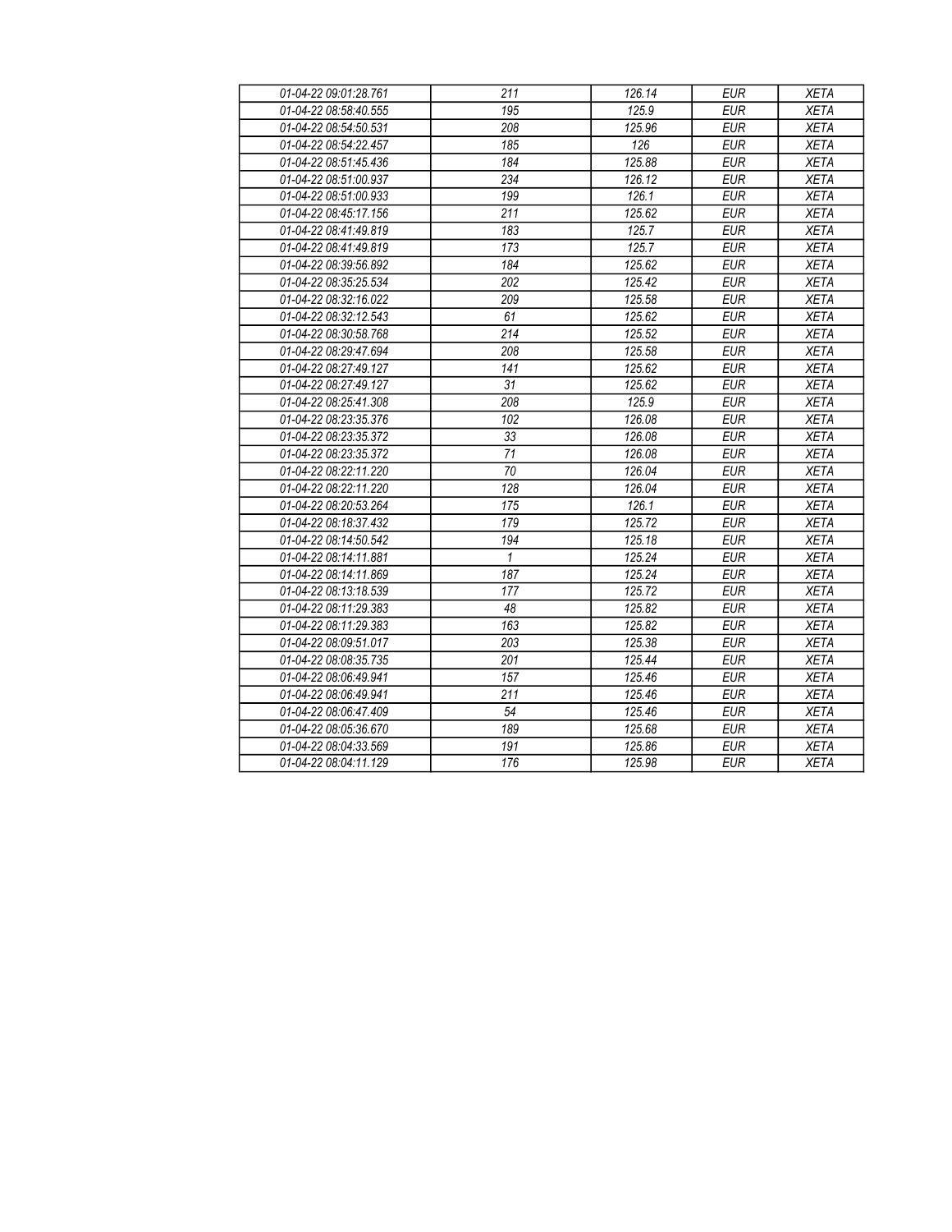| 01-04-22 09:01:28.761 | 211          | 126.14 | <b>EUR</b> | <b>XETA</b> |
|-----------------------|--------------|--------|------------|-------------|
| 01-04-22 08:58:40.555 | 195          | 125.9  | <b>EUR</b> | <b>XETA</b> |
| 01-04-22 08:54:50.531 | 208          | 125.96 | <b>EUR</b> | <b>XETA</b> |
| 01-04-22 08:54:22.457 | 185          | 126    | <b>EUR</b> | <b>XETA</b> |
| 01-04-22 08:51:45.436 | 184          | 125.88 | <b>EUR</b> | <b>XETA</b> |
| 01-04-22 08:51:00.937 | 234          | 126.12 | <b>EUR</b> | <b>XETA</b> |
| 01-04-22 08:51:00.933 | 199          | 126.1  | <b>EUR</b> | <b>XETA</b> |
| 01-04-22 08:45:17.156 | 211          | 125.62 | <b>EUR</b> | <b>XETA</b> |
| 01-04-22 08:41:49.819 | 183          | 125.7  | <b>EUR</b> | <b>XETA</b> |
| 01-04-22 08:41:49.819 | 173          | 125.7  | <b>EUR</b> | <b>XETA</b> |
| 01-04-22 08:39:56.892 | 184          | 125.62 | <b>EUR</b> | <b>XETA</b> |
| 01-04-22 08:35:25.534 | 202          | 125.42 | <b>EUR</b> | <b>XETA</b> |
| 01-04-22 08:32:16.022 | 209          | 125.58 | <b>EUR</b> | <b>XETA</b> |
| 01-04-22 08:32:12.543 | 61           | 125.62 | <b>EUR</b> | <b>XETA</b> |
| 01-04-22 08:30:58.768 | 214          | 125.52 | <b>EUR</b> | <b>XETA</b> |
| 01-04-22 08:29:47.694 | 208          | 125.58 | <b>EUR</b> | <b>XETA</b> |
| 01-04-22 08:27:49.127 | 141          | 125.62 | EUR        | <b>XETA</b> |
| 01-04-22 08:27:49.127 | 31           | 125.62 | <b>EUR</b> | <b>XETA</b> |
| 01-04-22 08:25:41.308 | 208          | 125.9  | <b>EUR</b> | <b>XETA</b> |
| 01-04-22 08:23:35.376 | 102          | 126.08 | <b>EUR</b> | <b>XETA</b> |
| 01-04-22 08:23:35.372 | 33           | 126.08 | <b>EUR</b> | <b>XETA</b> |
| 01-04-22 08:23:35.372 | 71           | 126.08 | <b>EUR</b> | <b>XETA</b> |
| 01-04-22 08:22:11.220 | 70           | 126.04 | <b>EUR</b> | <b>XETA</b> |
| 01-04-22 08:22:11.220 | 128          | 126.04 | <b>EUR</b> | <b>XETA</b> |
| 01-04-22 08:20:53.264 | 175          | 126.1  | <b>EUR</b> | <b>XETA</b> |
| 01-04-22 08:18:37.432 | 179          | 125.72 | <b>EUR</b> | <b>XETA</b> |
| 01-04-22 08:14:50.542 | 194          | 125.18 | <b>EUR</b> | <b>XETA</b> |
| 01-04-22 08:14:11.881 | $\mathbf{1}$ | 125.24 | <b>EUR</b> | <b>XETA</b> |
| 01-04-22 08:14:11.869 | 187          | 125.24 | <b>EUR</b> | <b>XETA</b> |
| 01-04-22 08:13:18.539 | 177          | 125.72 | <b>EUR</b> | <b>XETA</b> |
| 01-04-22 08:11:29.383 | 48           | 125.82 | <b>EUR</b> | <b>XETA</b> |
| 01-04-22 08:11:29.383 | 163          | 125.82 | <b>EUR</b> | <b>XETA</b> |
| 01-04-22 08:09:51.017 | 203          | 125.38 | <b>EUR</b> | <b>XETA</b> |
| 01-04-22 08:08:35.735 | 201          | 125.44 | <b>EUR</b> | <b>XETA</b> |
| 01-04-22 08:06:49.941 | 157          | 125.46 | <b>EUR</b> | <b>XETA</b> |
| 01-04-22 08:06:49.941 | 211          | 125.46 | <b>EUR</b> | <b>XETA</b> |
| 01-04-22 08:06:47.409 | 54           | 125.46 | <b>EUR</b> | <b>XETA</b> |
| 01-04-22 08:05:36.670 | 189          | 125.68 | <b>EUR</b> | <b>XETA</b> |
| 01-04-22 08:04:33.569 | 191          | 125.86 | <b>EUR</b> | <b>XETA</b> |
| 01-04-22 08:04:11.129 | 176          | 125.98 | <b>EUR</b> | <b>XETA</b> |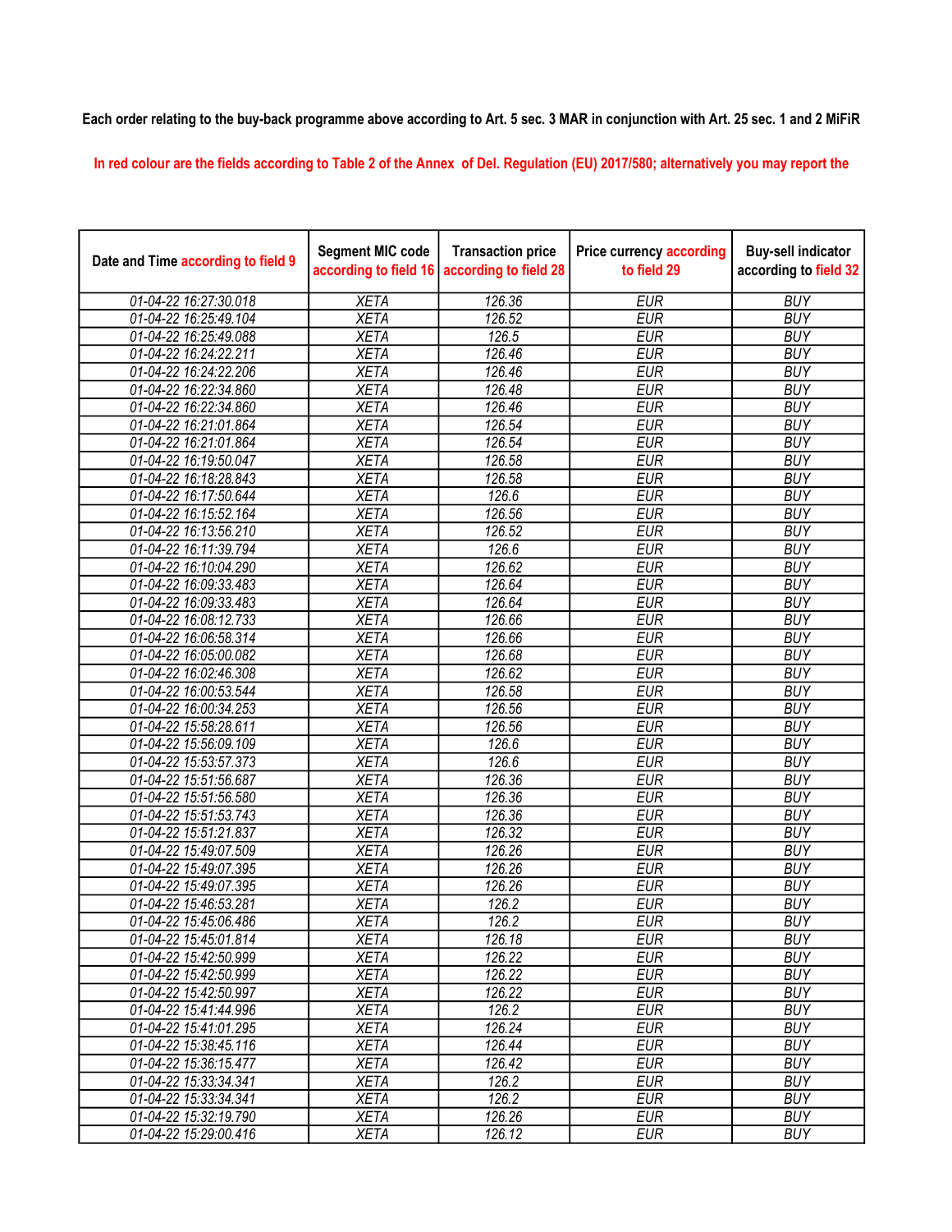## Each order relating to the buy-back programme above according to Art. 5 sec. 3 MAR in conjunction with Art. 25 sec. 1 and 2 MiFiR

In red colour are the fields according to Table 2 of the Annex of Del. Regulation (EU) 2017/580; alternatively you may report the

| Date and Time according to field 9 | <b>Segment MIC code</b><br>according to field 16 | <b>Transaction price</b><br>according to field 28 | <b>Price currency according</b><br>to field 29 | <b>Buy-sell indicator</b><br>according to field 32 |
|------------------------------------|--------------------------------------------------|---------------------------------------------------|------------------------------------------------|----------------------------------------------------|
| 01-04-22 16:27:30.018              | <b>XETA</b>                                      | 126.36                                            | <b>EUR</b>                                     | <b>BUY</b>                                         |
| 01-04-22 16:25:49.104              | <b>XETA</b>                                      | 126.52                                            | <b>EUR</b>                                     | <b>BUY</b>                                         |
| 01-04-22 16:25:49.088              | <b>XETA</b>                                      | 126.5                                             | <b>EUR</b>                                     | <b>BUY</b>                                         |
| 01-04-22 16:24:22.211              | <b>XETA</b>                                      | 126.46                                            | <b>EUR</b>                                     | <b>BUY</b>                                         |
| 01-04-22 16:24:22.206              | <b>XETA</b>                                      | 126.46                                            | <b>EUR</b>                                     | <b>BUY</b>                                         |
| 01-04-22 16:22:34.860              | <b>XETA</b>                                      | 126.48                                            | <b>EUR</b>                                     | <b>BUY</b>                                         |
| 01-04-22 16:22:34.860              | <b>XETA</b>                                      | 126.46                                            | <b>EUR</b>                                     | <b>BUY</b>                                         |
| 01-04-22 16:21:01.864              | <b>XETA</b>                                      | 126.54                                            | <b>EUR</b>                                     | <b>BUY</b>                                         |
| 01-04-22 16:21:01.864              | <b>XETA</b>                                      | 126.54                                            | <b>EUR</b>                                     | <b>BUY</b>                                         |
| 01-04-22 16:19:50.047              | <b>XETA</b>                                      | 126.58                                            | <b>EUR</b>                                     | <b>BUY</b>                                         |
| 01-04-22 16:18:28.843              | <b>XETA</b>                                      | 126.58                                            | <b>EUR</b>                                     | <b>BUY</b>                                         |
| 01-04-22 16:17:50.644              | <b>XETA</b>                                      | 126.6                                             | <b>EUR</b>                                     | <b>BUY</b>                                         |
| 01-04-22 16:15:52.164              | <b>XETA</b>                                      | 126.56                                            | <b>EUR</b>                                     | <b>BUY</b>                                         |
| 01-04-22 16:13:56.210              | <b>XETA</b>                                      | 126.52                                            | <b>EUR</b>                                     | <b>BUY</b>                                         |
| 01-04-22 16:11:39.794              | <b>XETA</b>                                      | 126.6                                             | <b>EUR</b>                                     | <b>BUY</b>                                         |
| 01-04-22 16:10:04.290              | <b>XETA</b>                                      | 126.62                                            | <b>EUR</b>                                     | <b>BUY</b>                                         |
| 01-04-22 16:09:33.483              | <b>XETA</b>                                      | 126.64                                            | <b>EUR</b>                                     | <b>BUY</b>                                         |
| 01-04-22 16:09:33.483              | <b>XETA</b>                                      | 126.64                                            | <b>EUR</b>                                     | <b>BUY</b>                                         |
| 01-04-22 16:08:12.733              | <b>XETA</b>                                      | 126.66                                            | <b>EUR</b>                                     | <b>BUY</b>                                         |
| 01-04-22 16:06:58.314              | <b>XETA</b>                                      | 126.66                                            | <b>EUR</b>                                     | <b>BUY</b>                                         |
| 01-04-22 16:05:00.082              | <b>XETA</b>                                      | 126.68                                            | <b>EUR</b>                                     | <b>BUY</b>                                         |
| 01-04-22 16:02:46.308              | <b>XETA</b>                                      | 126.62                                            | <b>EUR</b>                                     | <b>BUY</b>                                         |
| 01-04-22 16:00:53.544              | <b>XETA</b>                                      | 126.58                                            | <b>EUR</b>                                     | <b>BUY</b>                                         |
| 01-04-22 16:00:34.253              | <b>XETA</b>                                      | 126.56                                            | <b>EUR</b>                                     | <b>BUY</b>                                         |
| 01-04-22 15:58:28.611              | <b>XETA</b>                                      | 126.56                                            | <b>EUR</b>                                     | <b>BUY</b>                                         |
| 01-04-22 15:56:09.109              | <b>XETA</b>                                      | 126.6                                             | <b>EUR</b>                                     | <b>BUY</b>                                         |
| 01-04-22 15:53:57.373              | <b>XETA</b>                                      | 126.6                                             | <b>EUR</b>                                     | <b>BUY</b>                                         |
| 01-04-22 15:51:56.687              | <b>XETA</b>                                      | 126.36                                            | <b>EUR</b>                                     | <b>BUY</b>                                         |
| 01-04-22 15:51:56.580              | <b>XETA</b>                                      | 126.36                                            | <b>EUR</b>                                     | <b>BUY</b>                                         |
| 01-04-22 15:51:53.743              | <b>XETA</b>                                      | 126.36                                            | <b>EUR</b>                                     | <b>BUY</b>                                         |
| 01-04-22 15:51:21.837              | <b>XETA</b>                                      | 126.32                                            | <b>EUR</b>                                     | <b>BUY</b>                                         |
| 01-04-22 15:49:07.509              | <b>XETA</b>                                      | 126.26                                            | <b>EUR</b>                                     | <b>BUY</b>                                         |
| 01-04-22 15:49:07.395              | <b>XETA</b>                                      | 126.26                                            | <b>EUR</b>                                     | <b>BUY</b>                                         |
| 01-04-22 15:49:07.395              | <b>XETA</b>                                      | 126.26                                            | <b>EUR</b>                                     | <b>BUY</b>                                         |
| 01-04-22 15:46:53.281              | <b>XETA</b>                                      | 126.2                                             | <b>EUR</b>                                     | <b>BUY</b>                                         |
| 01-04-22 15:45:06.486              | <b>XETA</b>                                      | 126.2                                             | <b>EUR</b>                                     | <b>BUY</b>                                         |
| 01-04-22 15:45:01.814              | XETA                                             | 126.18                                            | EUR                                            | <b>BUY</b>                                         |
| 01-04-22 15:42:50.999              | <b>XETA</b>                                      | 126.22                                            | <b>EUR</b>                                     | <b>BUY</b>                                         |
| 01-04-22 15:42:50.999              | <b>XETA</b>                                      | 126.22                                            | <b>EUR</b>                                     | <b>BUY</b>                                         |
| 01-04-22 15:42:50.997              | <b>XETA</b>                                      | $\overline{126.22}$                               | <b>EUR</b>                                     | <b>BUY</b>                                         |
| 01-04-22 15:41:44.996              | <b>XETA</b>                                      | 126.2                                             | <b>EUR</b>                                     | <b>BUY</b>                                         |
| 01-04-22 15:41:01.295              | <b>XETA</b>                                      | 126.24                                            | <b>EUR</b>                                     | <b>BUY</b>                                         |
| 01-04-22 15:38:45.116              | <b>XETA</b>                                      | 126.44                                            | <b>EUR</b>                                     | <b>BUY</b>                                         |
| 01-04-22 15:36:15.477              | <b>XETA</b>                                      | 126.42                                            | <b>EUR</b>                                     | <b>BUY</b>                                         |
| 01-04-22 15:33:34.341              | <b>XETA</b>                                      | 126.2                                             | <b>EUR</b>                                     | <b>BUY</b>                                         |
| 01-04-22 15:33:34.341              | <b>XETA</b>                                      | 126.2                                             | <b>EUR</b>                                     | <b>BUY</b>                                         |
| 01-04-22 15:32:19.790              | <b>XETA</b>                                      | 126.26                                            | EUR                                            | <b>BUY</b>                                         |
| 01-04-22 15:29:00.416              | <b>XETA</b>                                      | 126.12                                            | <b>EUR</b>                                     | <b>BUY</b>                                         |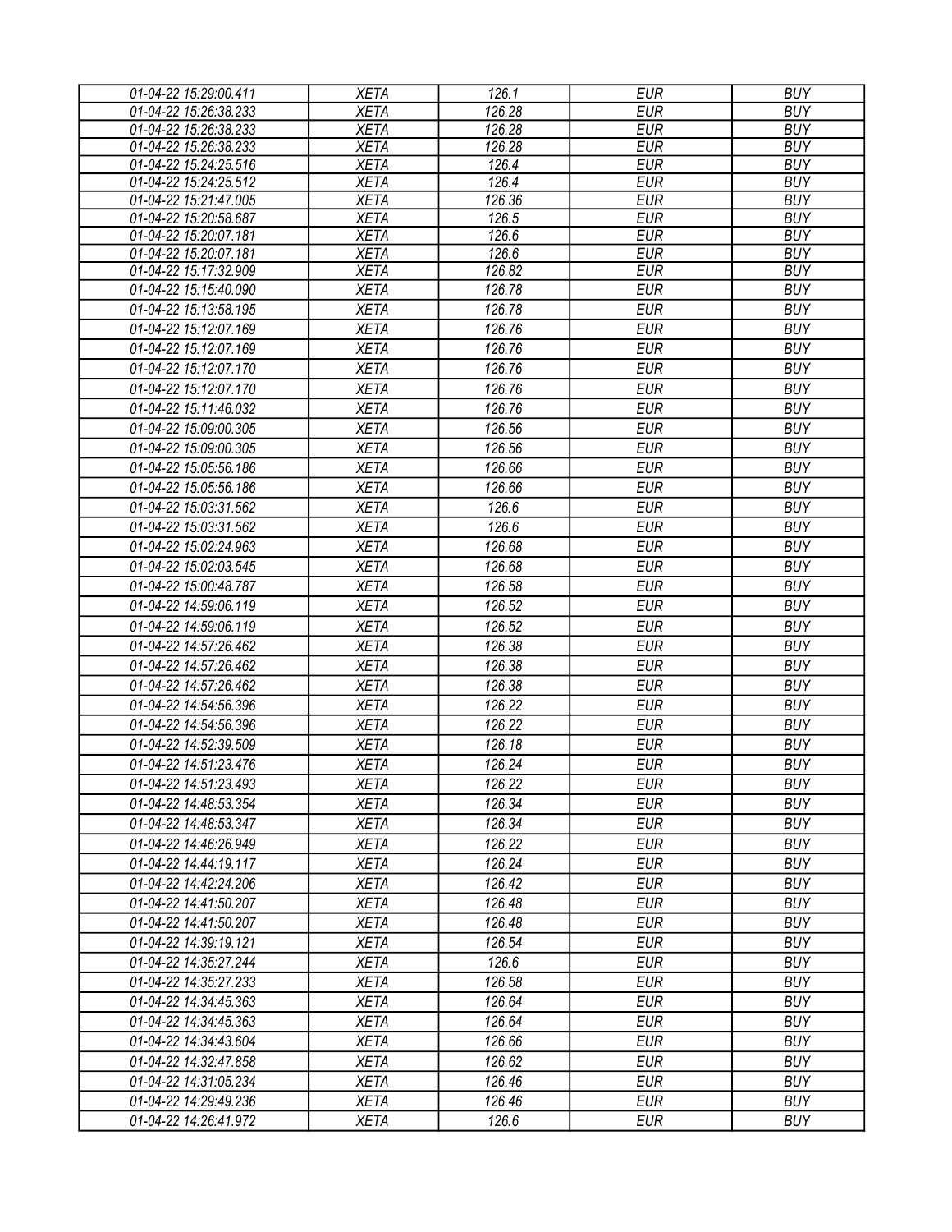| 01-04-22 15:29:00.411 | <b>XETA</b> | 126.1  | <b>EUR</b> | <b>BUY</b> |
|-----------------------|-------------|--------|------------|------------|
| 01-04-22 15:26:38.233 | <b>XETA</b> | 126.28 | <b>EUR</b> | <b>BUY</b> |
| 01-04-22 15:26:38.233 | <b>XETA</b> | 126.28 | <b>EUR</b> | <b>BUY</b> |
| 01-04-22 15:26:38.233 | <b>XETA</b> | 126.28 | <b>EUR</b> | <b>BUY</b> |
| 01-04-22 15:24:25.516 | <b>XETA</b> | 126.4  | <b>EUR</b> | <b>BUY</b> |
| 01-04-22 15:24:25.512 | <b>XETA</b> | 126.4  | <b>EUR</b> | <b>BUY</b> |
| 01-04-22 15:21:47.005 | <b>XETA</b> | 126.36 | <b>EUR</b> | <b>BUY</b> |
| 01-04-22 15:20:58.687 | <b>XETA</b> | 126.5  | <b>EUR</b> | <b>BUY</b> |
| 01-04-22 15:20:07.181 | <b>XETA</b> | 126.6  | <b>EUR</b> | <b>BUY</b> |
| 01-04-22 15:20:07.181 | <b>XETA</b> | 126.6  | <b>EUR</b> | <b>BUY</b> |
| 01-04-22 15:17:32.909 | <b>XETA</b> | 126.82 | <b>EUR</b> | <b>BUY</b> |
| 01-04-22 15:15:40.090 | <b>XETA</b> | 126.78 | <b>EUR</b> | <b>BUY</b> |
| 01-04-22 15:13:58.195 | <b>XETA</b> | 126.78 | <b>EUR</b> | <b>BUY</b> |
| 01-04-22 15:12:07.169 | <b>XETA</b> | 126.76 | <b>EUR</b> | <b>BUY</b> |
| 01-04-22 15:12:07.169 | <b>XETA</b> | 126.76 | <b>EUR</b> | <b>BUY</b> |
| 01-04-22 15:12:07.170 | <b>XETA</b> | 126.76 | <b>EUR</b> | <b>BUY</b> |
| 01-04-22 15:12:07.170 | <b>XETA</b> | 126.76 | <b>EUR</b> | <b>BUY</b> |
| 01-04-22 15:11:46.032 | <b>XETA</b> | 126.76 | <b>EUR</b> | <b>BUY</b> |
| 01-04-22 15:09:00.305 | <b>XETA</b> | 126.56 | <b>EUR</b> | <b>BUY</b> |
| 01-04-22 15:09:00.305 | <b>XETA</b> | 126.56 | <b>EUR</b> | <b>BUY</b> |
| 01-04-22 15:05:56.186 | <b>XETA</b> | 126.66 | <b>EUR</b> | <b>BUY</b> |
| 01-04-22 15:05:56.186 | <b>XETA</b> | 126.66 | <b>EUR</b> | <b>BUY</b> |
| 01-04-22 15:03:31.562 | <b>XETA</b> | 126.6  | <b>EUR</b> | <b>BUY</b> |
| 01-04-22 15:03:31.562 | <b>XETA</b> | 126.6  | <b>EUR</b> | <b>BUY</b> |
| 01-04-22 15:02:24.963 | <b>XETA</b> | 126.68 | <b>EUR</b> | <b>BUY</b> |
| 01-04-22 15:02:03.545 | <b>XETA</b> | 126.68 | <b>EUR</b> | <b>BUY</b> |
| 01-04-22 15:00:48.787 | <b>XETA</b> | 126.58 | <b>EUR</b> | <b>BUY</b> |
| 01-04-22 14:59:06.119 | <b>XETA</b> | 126.52 | <b>EUR</b> | <b>BUY</b> |
|                       |             |        |            |            |
| 01-04-22 14:59:06.119 | <b>XETA</b> | 126.52 | <b>EUR</b> | <b>BUY</b> |
| 01-04-22 14:57:26.462 | <b>XETA</b> | 126.38 | <b>EUR</b> | <b>BUY</b> |
| 01-04-22 14:57:26.462 | <b>XETA</b> | 126.38 | <b>EUR</b> | <b>BUY</b> |
| 01-04-22 14:57:26.462 | <b>XETA</b> | 126.38 | <b>EUR</b> | <b>BUY</b> |
| 01-04-22 14:54:56.396 | <b>XETA</b> | 126.22 | <b>EUR</b> | <b>BUY</b> |
| 01-04-22 14:54:56.396 | <b>XETA</b> | 126.22 | <b>EUR</b> | <b>BUY</b> |
| 01-04-22 14:52:39.509 | <b>XETA</b> | 126.18 | <b>EUR</b> | <b>BUY</b> |
| 01-04-22 14:51:23.476 | <b>XETA</b> | 126.24 | <b>EUR</b> | <b>BUY</b> |
| 01-04-22 14:51:23.493 | <b>XETA</b> | 126.22 | <b>EUR</b> | <b>BUY</b> |
| 01-04-22 14:48:53.354 | <b>XETA</b> | 126.34 | EUR        | <b>BUY</b> |
| 01-04-22 14:48:53.347 | <b>XETA</b> | 126.34 | <b>EUR</b> | <b>BUY</b> |
| 01-04-22 14:46:26.949 | <b>XETA</b> | 126.22 | <b>EUR</b> | <b>BUY</b> |
| 01-04-22 14:44:19.117 | <b>XETA</b> | 126.24 | <b>EUR</b> | <b>BUY</b> |
| 01-04-22 14:42:24.206 | <b>XETA</b> | 126.42 | <b>EUR</b> | <b>BUY</b> |
| 01-04-22 14:41:50.207 | <b>XETA</b> | 126.48 | <b>EUR</b> | <b>BUY</b> |
| 01-04-22 14:41:50.207 | <b>XETA</b> | 126.48 | <b>EUR</b> | <b>BUY</b> |
| 01-04-22 14:39:19.121 | <b>XETA</b> | 126.54 | <b>EUR</b> | <b>BUY</b> |
| 01-04-22 14:35:27.244 | <b>XETA</b> | 126.6  | <b>EUR</b> | <b>BUY</b> |
| 01-04-22 14:35:27.233 | <b>XETA</b> | 126.58 | EUR        | <b>BUY</b> |
| 01-04-22 14:34:45.363 | <b>XETA</b> | 126.64 | <b>EUR</b> | <b>BUY</b> |
|                       |             | 126.64 | <b>EUR</b> | <b>BUY</b> |
| 01-04-22 14:34:45.363 | <b>XETA</b> |        |            |            |
| 01-04-22 14:34:43.604 | <b>XETA</b> | 126.66 | <b>EUR</b> | <b>BUY</b> |
| 01-04-22 14:32:47.858 | <b>XETA</b> | 126.62 | <b>EUR</b> | <b>BUY</b> |
| 01-04-22 14:31:05.234 | <b>XETA</b> | 126.46 | <b>EUR</b> | <b>BUY</b> |
| 01-04-22 14:29:49.236 | <b>XETA</b> | 126.46 | <b>EUR</b> | <b>BUY</b> |
| 01-04-22 14:26:41.972 | <b>XETA</b> | 126.6  | <b>EUR</b> | <b>BUY</b> |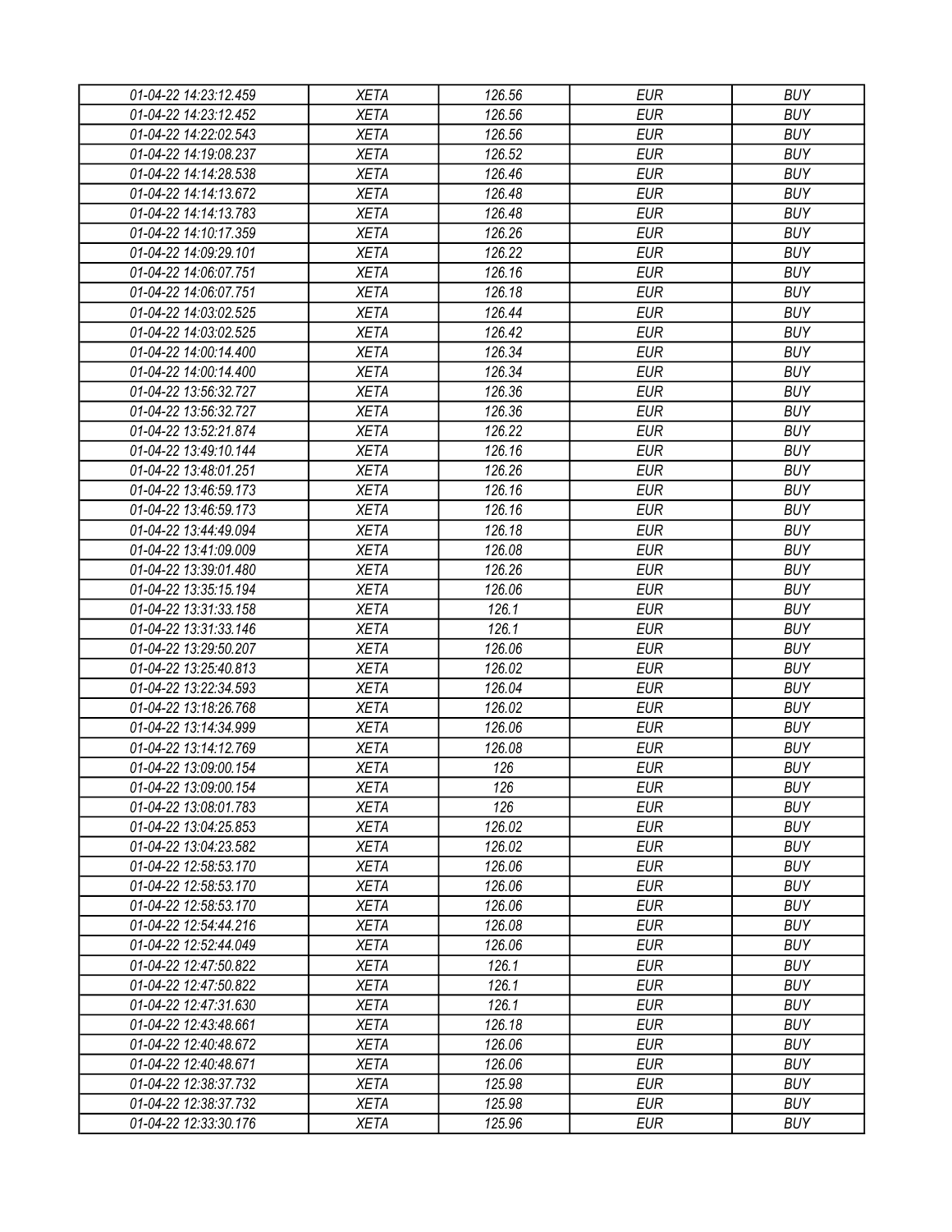| 01-04-22 14:23:12.459 | <b>XETA</b> | 126.56 | <b>EUR</b> | <b>BUY</b> |
|-----------------------|-------------|--------|------------|------------|
| 01-04-22 14:23:12.452 | <b>XETA</b> | 126.56 | <b>EUR</b> | <b>BUY</b> |
| 01-04-22 14:22:02.543 | <b>XETA</b> | 126.56 | <b>EUR</b> | <b>BUY</b> |
| 01-04-22 14:19:08.237 | <b>XETA</b> | 126.52 | <b>EUR</b> | <b>BUY</b> |
| 01-04-22 14:14:28.538 | <b>XETA</b> | 126.46 | <b>EUR</b> | <b>BUY</b> |
| 01-04-22 14:14:13.672 | <b>XETA</b> | 126.48 | <b>EUR</b> | <b>BUY</b> |
| 01-04-22 14:14:13.783 | <b>XETA</b> | 126.48 | <b>EUR</b> | <b>BUY</b> |
| 01-04-22 14:10:17.359 | <b>XETA</b> | 126.26 | <b>EUR</b> | <b>BUY</b> |
| 01-04-22 14:09:29.101 | <b>XETA</b> | 126.22 | <b>EUR</b> | <b>BUY</b> |
| 01-04-22 14:06:07.751 | <b>XETA</b> | 126.16 | <b>EUR</b> | <b>BUY</b> |
| 01-04-22 14:06:07.751 | <b>XETA</b> | 126.18 | <b>EUR</b> | <b>BUY</b> |
| 01-04-22 14:03:02.525 | <b>XETA</b> | 126.44 | <b>EUR</b> | <b>BUY</b> |
| 01-04-22 14:03:02.525 | <b>XETA</b> | 126.42 | <b>EUR</b> | <b>BUY</b> |
| 01-04-22 14:00:14.400 | <b>XETA</b> | 126.34 | <b>EUR</b> | <b>BUY</b> |
| 01-04-22 14:00:14.400 | <b>XETA</b> | 126.34 | <b>EUR</b> | <b>BUY</b> |
| 01-04-22 13:56:32.727 | <b>XETA</b> | 126.36 | <b>EUR</b> | <b>BUY</b> |
| 01-04-22 13:56:32.727 | <b>XETA</b> | 126.36 | <b>EUR</b> | <b>BUY</b> |
| 01-04-22 13:52:21.874 | <b>XETA</b> | 126.22 | <b>EUR</b> | <b>BUY</b> |
| 01-04-22 13:49:10.144 | <b>XETA</b> | 126.16 | <b>EUR</b> | <b>BUY</b> |
| 01-04-22 13:48:01.251 | <b>XETA</b> | 126.26 | <b>EUR</b> | <b>BUY</b> |
| 01-04-22 13:46:59.173 | <b>XETA</b> | 126.16 | <b>EUR</b> | <b>BUY</b> |
| 01-04-22 13:46:59.173 | <b>XETA</b> | 126.16 | <b>EUR</b> | <b>BUY</b> |
| 01-04-22 13:44:49.094 | <b>XETA</b> | 126.18 | <b>EUR</b> | <b>BUY</b> |
| 01-04-22 13:41:09.009 | <b>XETA</b> | 126.08 | <b>EUR</b> | <b>BUY</b> |
|                       |             |        |            |            |
| 01-04-22 13:39:01.480 | <b>XETA</b> | 126.26 | <b>EUR</b> | <b>BUY</b> |
| 01-04-22 13:35:15.194 | <b>XETA</b> | 126.06 | <b>EUR</b> | <b>BUY</b> |
| 01-04-22 13:31:33.158 | <b>XETA</b> | 126.1  | <b>EUR</b> | <b>BUY</b> |
| 01-04-22 13:31:33.146 | <b>XETA</b> | 126.1  | <b>EUR</b> | <b>BUY</b> |
| 01-04-22 13:29:50.207 | <b>XETA</b> | 126.06 | <b>EUR</b> | <b>BUY</b> |
| 01-04-22 13:25:40.813 | <b>XETA</b> | 126.02 | <b>EUR</b> | <b>BUY</b> |
| 01-04-22 13:22:34.593 | <b>XETA</b> | 126.04 | <b>EUR</b> | <b>BUY</b> |
| 01-04-22 13:18:26.768 | <b>XETA</b> | 126.02 | <b>EUR</b> | <b>BUY</b> |
| 01-04-22 13:14:34.999 | <b>XETA</b> | 126.06 | <b>EUR</b> | <b>BUY</b> |
| 01-04-22 13:14:12.769 | <b>XETA</b> | 126.08 | <b>EUR</b> | <b>BUY</b> |
| 01-04-22 13:09:00.154 | <b>XETA</b> | 126    | <b>EUR</b> | <b>BUY</b> |
| 01-04-22 13:09:00.154 | <b>XETA</b> | 126    | <b>EUR</b> | <b>BUY</b> |
| 01-04-22 13:08:01.783 | <b>XETA</b> | 126    | <b>EUR</b> | <b>BUY</b> |
| 01-04-22 13:04:25.853 | <b>XETA</b> | 126.02 | <b>EUR</b> | <b>BUY</b> |
| 01-04-22 13:04:23.582 | <b>XETA</b> | 126.02 | <b>EUR</b> | <b>BUY</b> |
| 01-04-22 12:58:53.170 | <b>XETA</b> | 126.06 | <b>EUR</b> | <b>BUY</b> |
| 01-04-22 12:58:53.170 | <b>XETA</b> | 126.06 | <b>EUR</b> | <b>BUY</b> |
| 01-04-22 12:58:53.170 | <b>XETA</b> | 126.06 | <b>EUR</b> | <b>BUY</b> |
| 01-04-22 12:54:44.216 | <b>XETA</b> | 126.08 | <b>EUR</b> | <b>BUY</b> |
| 01-04-22 12:52:44.049 | <b>XETA</b> | 126.06 | <b>EUR</b> | <b>BUY</b> |
| 01-04-22 12:47:50.822 | <b>XETA</b> | 126.1  | <b>EUR</b> | <b>BUY</b> |
| 01-04-22 12:47:50.822 | <b>XETA</b> | 126.1  | <b>EUR</b> | <b>BUY</b> |
| 01-04-22 12:47:31.630 | <b>XETA</b> | 126.1  | <b>EUR</b> | <b>BUY</b> |
| 01-04-22 12:43:48.661 | <b>XETA</b> | 126.18 | <b>EUR</b> | <b>BUY</b> |
| 01-04-22 12:40:48.672 | <b>XETA</b> | 126.06 | <b>EUR</b> | <b>BUY</b> |
| 01-04-22 12:40:48.671 | <b>XETA</b> | 126.06 | <b>EUR</b> | <b>BUY</b> |
| 01-04-22 12:38:37.732 | <b>XETA</b> | 125.98 | <b>EUR</b> | <b>BUY</b> |
| 01-04-22 12:38:37.732 | <b>XETA</b> | 125.98 | <b>EUR</b> | <b>BUY</b> |
| 01-04-22 12:33:30.176 | <b>XETA</b> | 125.96 | <b>EUR</b> | <b>BUY</b> |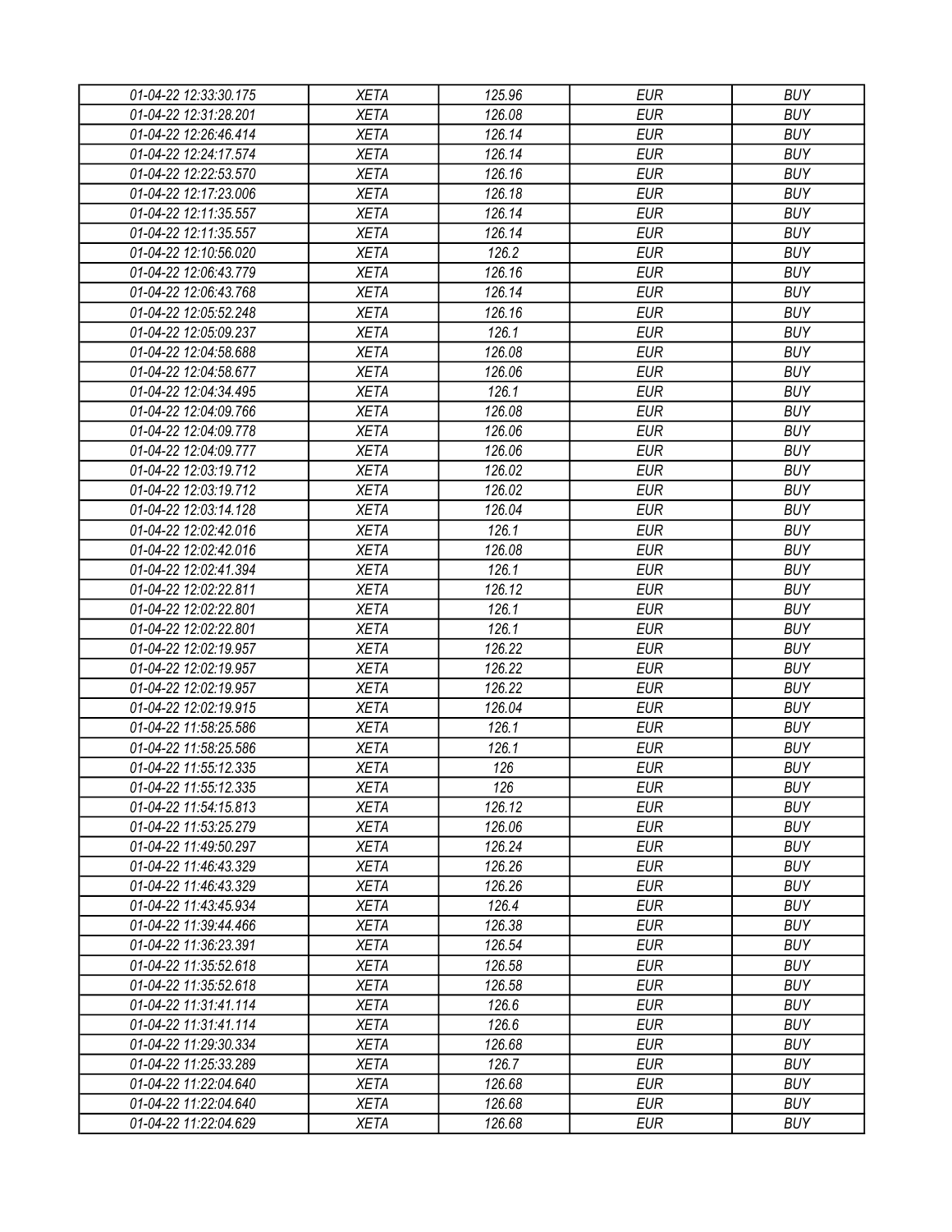| 01-04-22 12:33:30.175 | XETA                       | 125.96 | EUR        | <b>BUY</b> |
|-----------------------|----------------------------|--------|------------|------------|
| 01-04-22 12:31:28.201 | <b>XETA</b>                | 126.08 | <b>EUR</b> | <b>BUY</b> |
| 01-04-22 12:26:46.414 | <b>XETA</b>                | 126.14 | <b>EUR</b> | <b>BUY</b> |
| 01-04-22 12:24:17.574 | <b>XETA</b>                | 126.14 | <b>EUR</b> | <b>BUY</b> |
| 01-04-22 12:22:53.570 | <b>XETA</b>                | 126.16 | <b>EUR</b> | <b>BUY</b> |
| 01-04-22 12:17:23.006 | <b>XETA</b>                | 126.18 | <b>EUR</b> | <b>BUY</b> |
| 01-04-22 12:11:35.557 | <b>XETA</b>                | 126.14 | <b>EUR</b> | <b>BUY</b> |
| 01-04-22 12:11:35.557 | <b>XETA</b>                | 126.14 | <b>EUR</b> | <b>BUY</b> |
| 01-04-22 12:10:56.020 | <b>XETA</b>                | 126.2  | <b>EUR</b> | <b>BUY</b> |
| 01-04-22 12:06:43.779 | <b>XETA</b>                | 126.16 | <b>EUR</b> | <b>BUY</b> |
| 01-04-22 12:06:43.768 | <b>XETA</b>                | 126.14 | <b>EUR</b> | <b>BUY</b> |
| 01-04-22 12:05:52.248 | <b>XETA</b>                | 126.16 | <b>EUR</b> | <b>BUY</b> |
| 01-04-22 12:05:09.237 | <b>XETA</b>                | 126.1  | <b>EUR</b> | <b>BUY</b> |
| 01-04-22 12:04:58.688 | <b>XETA</b>                | 126.08 | <b>EUR</b> | <b>BUY</b> |
| 01-04-22 12:04:58.677 | <b>XETA</b>                | 126.06 | <b>EUR</b> | <b>BUY</b> |
| 01-04-22 12:04:34.495 | <b>XETA</b>                | 126.1  | <b>EUR</b> | <b>BUY</b> |
| 01-04-22 12:04:09.766 | <b>XETA</b>                | 126.08 | <b>EUR</b> | <b>BUY</b> |
| 01-04-22 12:04:09.778 | <b>XETA</b>                | 126.06 | <b>EUR</b> | <b>BUY</b> |
| 01-04-22 12:04:09.777 | <b>XETA</b>                | 126.06 | <b>EUR</b> | <b>BUY</b> |
| 01-04-22 12:03:19.712 | <b>XETA</b>                | 126.02 | <b>EUR</b> | <b>BUY</b> |
| 01-04-22 12:03:19.712 | <b>XETA</b>                | 126.02 | <b>EUR</b> | <b>BUY</b> |
| 01-04-22 12:03:14.128 | <b>XETA</b>                | 126.04 | <b>EUR</b> | <b>BUY</b> |
| 01-04-22 12:02:42.016 | <b>XETA</b>                | 126.1  | <b>EUR</b> | <b>BUY</b> |
| 01-04-22 12:02:42.016 | <b>XETA</b>                | 126.08 | <b>EUR</b> | <b>BUY</b> |
| 01-04-22 12:02:41.394 | <b>XETA</b>                | 126.1  | <b>EUR</b> | <b>BUY</b> |
| 01-04-22 12:02:22.811 | <b>XETA</b>                | 126.12 | <b>EUR</b> | <b>BUY</b> |
| 01-04-22 12:02:22.801 | <b>XETA</b>                | 126.1  | <b>EUR</b> | <b>BUY</b> |
| 01-04-22 12:02:22.801 | <b>XETA</b>                | 126.1  | <b>EUR</b> | <b>BUY</b> |
| 01-04-22 12:02:19.957 | <b>XETA</b>                | 126.22 | <b>EUR</b> | <b>BUY</b> |
| 01-04-22 12:02:19.957 | <b>XETA</b>                | 126.22 | <b>EUR</b> | <b>BUY</b> |
| 01-04-22 12:02:19.957 | <b>XETA</b>                | 126.22 | <b>EUR</b> | <b>BUY</b> |
| 01-04-22 12:02:19.915 | <b>XETA</b>                | 126.04 | <b>EUR</b> | <b>BUY</b> |
| 01-04-22 11:58:25.586 | <b>XETA</b>                | 126.1  | <b>EUR</b> | <b>BUY</b> |
| 01-04-22 11:58:25.586 | <b>XETA</b>                | 126.1  | <b>EUR</b> | <b>BUY</b> |
| 01-04-22 11:55:12.335 | <b>XETA</b>                | 126    | <b>EUR</b> | <b>BUY</b> |
| 01-04-22 11:55:12.335 | <b>XETA</b>                | 126    | <b>EUR</b> | <b>BUY</b> |
| 01-04-22 11:54:15.813 |                            | 126.12 | <b>EUR</b> | <b>BUY</b> |
| 01-04-22 11:53:25.279 | <b>XETA</b><br><b>XETA</b> | 126.06 | <b>EUR</b> | <b>BUY</b> |
|                       | <b>XETA</b>                | 126.24 | <b>EUR</b> | <b>BUY</b> |
| 01-04-22 11:49:50.297 |                            |        | <b>EUR</b> | <b>BUY</b> |
| 01-04-22 11:46:43.329 | <b>XETA</b>                | 126.26 |            |            |
| 01-04-22 11:46:43.329 | <b>XETA</b>                | 126.26 | <b>EUR</b> | <b>BUY</b> |
| 01-04-22 11:43:45.934 | <b>XETA</b>                | 126.4  | <b>EUR</b> | <b>BUY</b> |
| 01-04-22 11:39:44.466 | <b>XETA</b>                | 126.38 | <b>EUR</b> | <b>BUY</b> |
| 01-04-22 11:36:23.391 | <b>XETA</b>                | 126.54 | <b>EUR</b> | <b>BUY</b> |
| 01-04-22 11:35:52.618 | <b>XETA</b>                | 126.58 | <b>EUR</b> | <b>BUY</b> |
| 01-04-22 11:35:52.618 | <b>XETA</b>                | 126.58 | <b>EUR</b> | <b>BUY</b> |
| 01-04-22 11:31:41.114 | <b>XETA</b>                | 126.6  | <b>EUR</b> | <b>BUY</b> |
| 01-04-22 11:31:41.114 | <b>XETA</b>                | 126.6  | <b>EUR</b> | <b>BUY</b> |
| 01-04-22 11:29:30.334 | <b>XETA</b>                | 126.68 | <b>EUR</b> | <b>BUY</b> |
| 01-04-22 11:25:33.289 | <b>XETA</b>                | 126.7  | <b>EUR</b> | <b>BUY</b> |
| 01-04-22 11:22:04.640 | <b>XETA</b>                | 126.68 | EUR        | <b>BUY</b> |
| 01-04-22 11:22:04.640 | <b>XETA</b>                | 126.68 | <b>EUR</b> | <b>BUY</b> |
| 01-04-22 11:22:04.629 | XETA                       | 126.68 | <b>EUR</b> | <b>BUY</b> |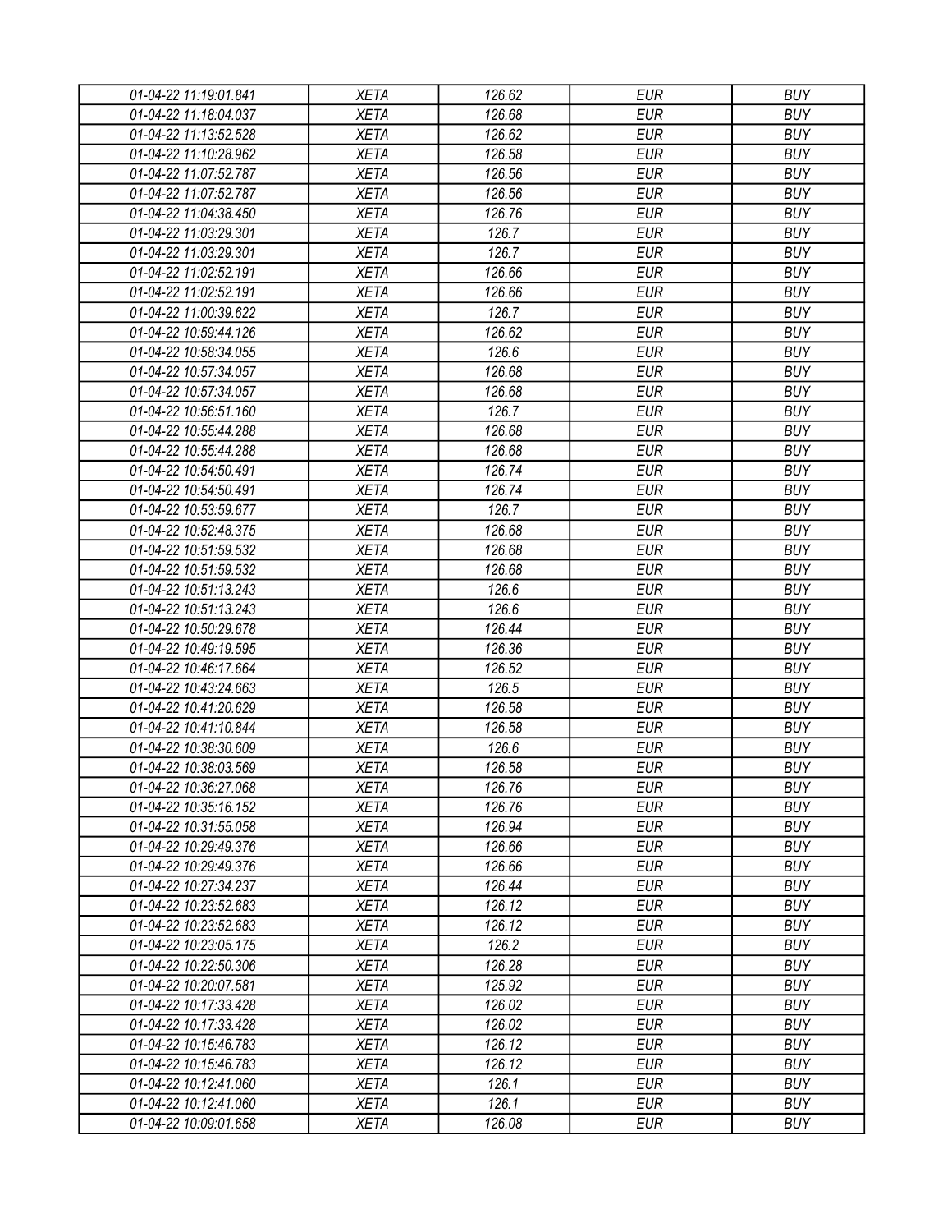| 01-04-22 11:19:01.841 | XETA        | 126.62 | <b>EUR</b> | <b>BUY</b> |
|-----------------------|-------------|--------|------------|------------|
| 01-04-22 11:18:04.037 | <b>XETA</b> | 126.68 | <b>EUR</b> | <b>BUY</b> |
| 01-04-22 11:13:52.528 | <b>XETA</b> | 126.62 | <b>EUR</b> | <b>BUY</b> |
| 01-04-22 11:10:28.962 | <b>XETA</b> | 126.58 | <b>EUR</b> | <b>BUY</b> |
| 01-04-22 11:07:52.787 | <b>XETA</b> | 126.56 | <b>EUR</b> | <b>BUY</b> |
| 01-04-22 11:07:52.787 | <b>XETA</b> | 126.56 | <b>EUR</b> | <b>BUY</b> |
| 01-04-22 11:04:38.450 | <b>XETA</b> | 126.76 | <b>EUR</b> | <b>BUY</b> |
| 01-04-22 11:03:29.301 | <b>XETA</b> | 126.7  | <b>EUR</b> | <b>BUY</b> |
| 01-04-22 11:03:29.301 | <b>XETA</b> | 126.7  | <b>EUR</b> | <b>BUY</b> |
| 01-04-22 11:02:52.191 | <b>XETA</b> | 126.66 | <b>EUR</b> | <b>BUY</b> |
| 01-04-22 11:02:52.191 | <b>XETA</b> | 126.66 | <b>EUR</b> | <b>BUY</b> |
| 01-04-22 11:00:39.622 | <b>XETA</b> | 126.7  | <b>EUR</b> | <b>BUY</b> |
| 01-04-22 10:59:44.126 | <b>XETA</b> | 126.62 | <b>EUR</b> | <b>BUY</b> |
| 01-04-22 10:58:34.055 | <b>XETA</b> | 126.6  | <b>EUR</b> | <b>BUY</b> |
| 01-04-22 10:57:34.057 | <b>XETA</b> | 126.68 | <b>EUR</b> | <b>BUY</b> |
| 01-04-22 10:57:34.057 | <b>XETA</b> | 126.68 | <b>EUR</b> | <b>BUY</b> |
| 01-04-22 10:56:51.160 | <b>XETA</b> | 126.7  | <b>EUR</b> | <b>BUY</b> |
| 01-04-22 10:55:44.288 | <b>XETA</b> | 126.68 | <b>EUR</b> | <b>BUY</b> |
| 01-04-22 10:55:44.288 | <b>XETA</b> | 126.68 | <b>EUR</b> | <b>BUY</b> |
| 01-04-22 10:54:50.491 | <b>XETA</b> | 126.74 | <b>EUR</b> | <b>BUY</b> |
| 01-04-22 10:54:50.491 | <b>XETA</b> | 126.74 | <b>EUR</b> | <b>BUY</b> |
| 01-04-22 10:53:59.677 | <b>XETA</b> | 126.7  | <b>EUR</b> | <b>BUY</b> |
| 01-04-22 10:52:48.375 | <b>XETA</b> | 126.68 | <b>EUR</b> | <b>BUY</b> |
| 01-04-22 10:51:59.532 | <b>XETA</b> | 126.68 | <b>EUR</b> | <b>BUY</b> |
| 01-04-22 10:51:59.532 | <b>XETA</b> | 126.68 | <b>EUR</b> | <b>BUY</b> |
| 01-04-22 10:51:13.243 | <b>XETA</b> | 126.6  | <b>EUR</b> | <b>BUY</b> |
| 01-04-22 10:51:13.243 | <b>XETA</b> | 126.6  | <b>EUR</b> | <b>BUY</b> |
| 01-04-22 10:50:29.678 | <b>XETA</b> | 126.44 | <b>EUR</b> | <b>BUY</b> |
| 01-04-22 10:49:19.595 | <b>XETA</b> | 126.36 | <b>EUR</b> | <b>BUY</b> |
| 01-04-22 10:46:17.664 | <b>XETA</b> | 126.52 | <b>EUR</b> | <b>BUY</b> |
| 01-04-22 10:43:24.663 | <b>XETA</b> | 126.5  | <b>EUR</b> | <b>BUY</b> |
| 01-04-22 10:41:20.629 | <b>XETA</b> | 126.58 | <b>EUR</b> | <b>BUY</b> |
| 01-04-22 10:41:10.844 | <b>XETA</b> | 126.58 | <b>EUR</b> | <b>BUY</b> |
| 01-04-22 10:38:30.609 | <b>XETA</b> | 126.6  | <b>EUR</b> | <b>BUY</b> |
| 01-04-22 10:38:03.569 | <b>XETA</b> | 126.58 | <b>EUR</b> | <b>BUY</b> |
| 01-04-22 10:36:27.068 | <b>XETA</b> | 126.76 | <b>EUR</b> | <b>BUY</b> |
| 01-04-22 10:35:16.152 | <b>XETA</b> | 126.76 | <b>EUR</b> | <b>BUY</b> |
|                       | <b>XETA</b> | 126.94 | <b>EUR</b> | <b>BUY</b> |
| 01-04-22 10:31:55.058 | <b>XETA</b> | 126.66 | <b>EUR</b> | <b>BUY</b> |
| 01-04-22 10:29:49.376 |             |        | <b>EUR</b> | <b>BUY</b> |
| 01-04-22 10:29:49.376 | <b>XETA</b> | 126.66 |            |            |
| 01-04-22 10:27:34.237 | <b>XETA</b> | 126.44 | <b>EUR</b> | <b>BUY</b> |
| 01-04-22 10:23:52.683 | <b>XETA</b> | 126.12 | <b>EUR</b> | <b>BUY</b> |
| 01-04-22 10:23:52.683 | <b>XETA</b> | 126.12 | <b>EUR</b> | <b>BUY</b> |
| 01-04-22 10:23:05.175 | <b>XETA</b> | 126.2  | <b>EUR</b> | <b>BUY</b> |
| 01-04-22 10:22:50.306 | <b>XETA</b> | 126.28 | <b>EUR</b> | <b>BUY</b> |
| 01-04-22 10:20:07.581 | <b>XETA</b> | 125.92 | <b>EUR</b> | <b>BUY</b> |
| 01-04-22 10:17:33.428 | <b>XETA</b> | 126.02 | <b>EUR</b> | <b>BUY</b> |
| 01-04-22 10:17:33.428 | <b>XETA</b> | 126.02 | <b>EUR</b> | <b>BUY</b> |
| 01-04-22 10:15:46.783 | <b>XETA</b> | 126.12 | <b>EUR</b> | <b>BUY</b> |
| 01-04-22 10:15:46.783 | <b>XETA</b> | 126.12 | <b>EUR</b> | <b>BUY</b> |
| 01-04-22 10:12:41.060 | <b>XETA</b> | 126.1  | EUR        | <b>BUY</b> |
| 01-04-22 10:12:41.060 | <b>XETA</b> | 126.1  | <b>EUR</b> | <b>BUY</b> |
| 01-04-22 10:09:01.658 | <b>XETA</b> | 126.08 | <b>EUR</b> | <b>BUY</b> |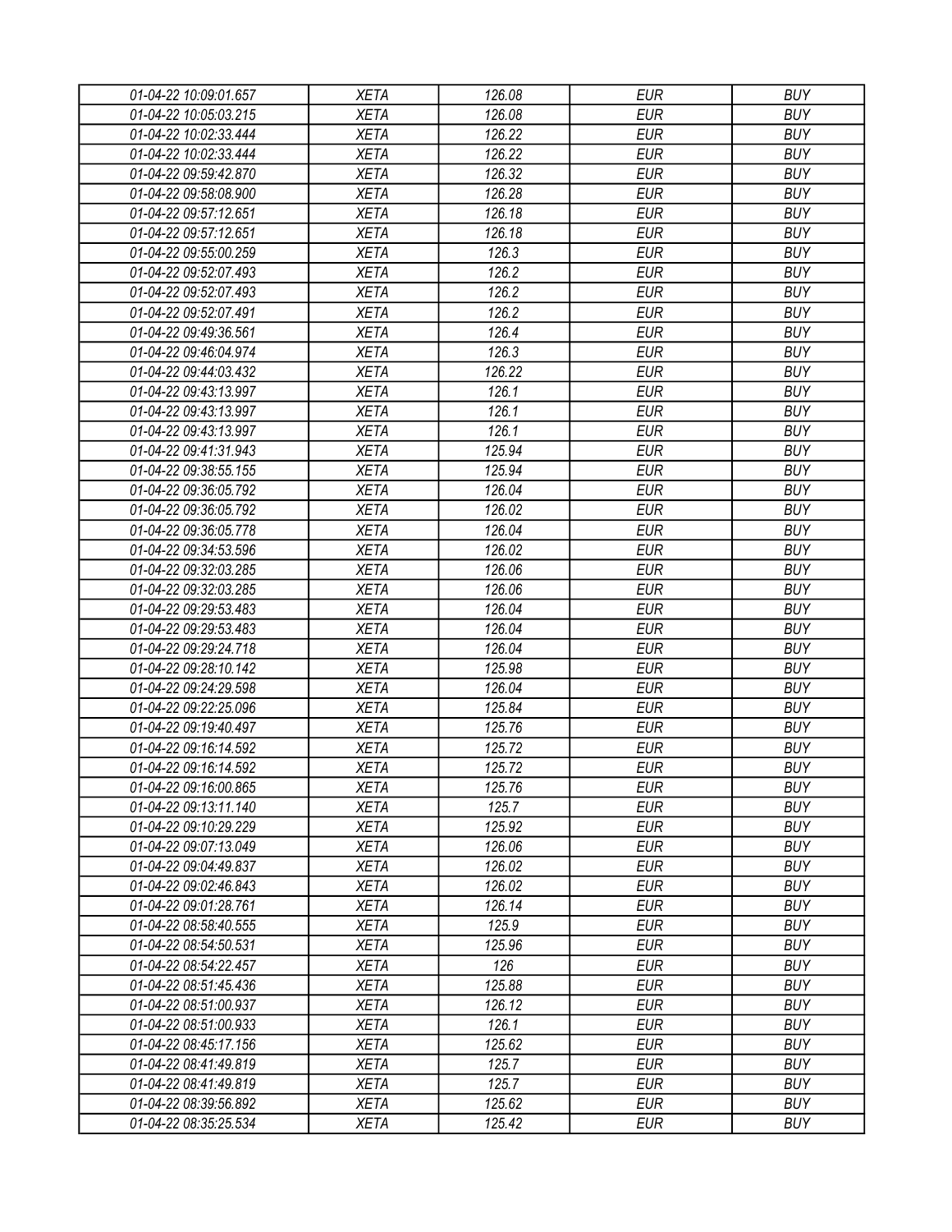| 01-04-22 10:09:01.657 | <b>XETA</b> | 126.08 | <b>EUR</b> | <b>BUY</b> |
|-----------------------|-------------|--------|------------|------------|
| 01-04-22 10:05:03.215 | <b>XETA</b> | 126.08 | <b>EUR</b> | <b>BUY</b> |
| 01-04-22 10:02:33.444 | <b>XETA</b> | 126.22 | <b>EUR</b> | <b>BUY</b> |
| 01-04-22 10:02:33.444 | <b>XETA</b> | 126.22 | <b>EUR</b> | <b>BUY</b> |
| 01-04-22 09:59:42.870 | <b>XETA</b> | 126.32 | <b>EUR</b> | <b>BUY</b> |
| 01-04-22 09:58:08.900 | <b>XETA</b> | 126.28 | <b>EUR</b> | <b>BUY</b> |
| 01-04-22 09:57:12.651 | <b>XETA</b> | 126.18 | <b>EUR</b> | <b>BUY</b> |
| 01-04-22 09:57:12.651 | <b>XETA</b> | 126.18 | <b>EUR</b> | <b>BUY</b> |
| 01-04-22 09:55:00.259 | <b>XETA</b> | 126.3  | <b>EUR</b> | <b>BUY</b> |
| 01-04-22 09:52:07.493 | <b>XETA</b> | 126.2  | <b>EUR</b> | <b>BUY</b> |
| 01-04-22 09:52:07.493 | <b>XETA</b> | 126.2  | <b>EUR</b> | <b>BUY</b> |
| 01-04-22 09:52:07.491 | <b>XETA</b> | 126.2  | <b>EUR</b> | <b>BUY</b> |
| 01-04-22 09:49:36.561 | <b>XETA</b> | 126.4  | <b>EUR</b> | <b>BUY</b> |
| 01-04-22 09:46:04.974 | <b>XETA</b> | 126.3  | <b>EUR</b> | <b>BUY</b> |
| 01-04-22 09:44:03.432 | <b>XETA</b> | 126.22 | <b>EUR</b> | <b>BUY</b> |
| 01-04-22 09:43:13.997 | <b>XETA</b> | 126.1  | <b>EUR</b> | <b>BUY</b> |
| 01-04-22 09:43:13.997 | <b>XETA</b> | 126.1  | <b>EUR</b> | <b>BUY</b> |
| 01-04-22 09:43:13.997 | <b>XETA</b> | 126.1  | <b>EUR</b> | <b>BUY</b> |
| 01-04-22 09:41:31.943 | <b>XETA</b> | 125.94 | <b>EUR</b> | <b>BUY</b> |
| 01-04-22 09:38:55.155 | <b>XETA</b> | 125.94 | <b>EUR</b> | <b>BUY</b> |
| 01-04-22 09:36:05.792 | <b>XETA</b> | 126.04 | <b>EUR</b> | <b>BUY</b> |
| 01-04-22 09:36:05.792 | <b>XETA</b> | 126.02 | <b>EUR</b> | <b>BUY</b> |
| 01-04-22 09:36:05.778 | <b>XETA</b> | 126.04 | <b>EUR</b> | <b>BUY</b> |
| 01-04-22 09:34:53.596 | <b>XETA</b> | 126.02 | <b>EUR</b> | <b>BUY</b> |
| 01-04-22 09:32:03.285 | <b>XETA</b> | 126.06 | <b>EUR</b> | <b>BUY</b> |
| 01-04-22 09:32:03.285 | <b>XETA</b> | 126.06 | <b>EUR</b> | <b>BUY</b> |
| 01-04-22 09:29:53.483 | <b>XETA</b> | 126.04 | <b>EUR</b> | <b>BUY</b> |
| 01-04-22 09:29:53.483 | <b>XETA</b> | 126.04 | <b>EUR</b> | <b>BUY</b> |
| 01-04-22 09:29:24.718 | <b>XETA</b> | 126.04 | <b>EUR</b> | <b>BUY</b> |
| 01-04-22 09:28:10.142 | <b>XETA</b> | 125.98 | <b>EUR</b> | <b>BUY</b> |
| 01-04-22 09:24:29.598 | <b>XETA</b> | 126.04 | <b>EUR</b> | <b>BUY</b> |
| 01-04-22 09:22:25.096 | <b>XETA</b> | 125.84 | <b>EUR</b> | <b>BUY</b> |
| 01-04-22 09:19:40.497 | <b>XETA</b> | 125.76 | <b>EUR</b> | <b>BUY</b> |
| 01-04-22 09:16:14.592 | <b>XETA</b> | 125.72 | <b>EUR</b> | <b>BUY</b> |
| 01-04-22 09:16:14.592 | <b>XETA</b> | 125.72 | <b>EUR</b> | <b>BUY</b> |
| 01-04-22 09:16:00.865 | <b>XETA</b> | 125.76 | <b>EUR</b> | <b>BUY</b> |
| 01-04-22 09:13:11.140 | <b>XETA</b> | 125.7  | <b>EUR</b> | <b>BUY</b> |
| 01-04-22 09:10:29.229 | <b>XETA</b> | 125.92 | <b>EUR</b> | <b>BUY</b> |
| 01-04-22 09:07:13.049 | <b>XETA</b> | 126.06 | <b>EUR</b> | <b>BUY</b> |
| 01-04-22 09:04:49.837 | <b>XETA</b> | 126.02 | <b>EUR</b> | <b>BUY</b> |
| 01-04-22 09:02:46.843 | XETA        | 126.02 | <b>EUR</b> | <b>BUY</b> |
| 01-04-22 09:01:28.761 | <b>XETA</b> | 126.14 | <b>EUR</b> | <b>BUY</b> |
| 01-04-22 08:58:40.555 | <b>XETA</b> | 125.9  | <b>EUR</b> | <b>BUY</b> |
| 01-04-22 08:54:50.531 | <b>XETA</b> | 125.96 | <b>EUR</b> | <b>BUY</b> |
| 01-04-22 08:54:22.457 | <b>XETA</b> | 126    | <b>EUR</b> | <b>BUY</b> |
| 01-04-22 08:51:45.436 | <b>XETA</b> | 125.88 | <b>EUR</b> | <b>BUY</b> |
| 01-04-22 08:51:00.937 | <b>XETA</b> | 126.12 | <b>EUR</b> | <b>BUY</b> |
| 01-04-22 08:51:00.933 | <b>XETA</b> | 126.1  | <b>EUR</b> | <b>BUY</b> |
| 01-04-22 08:45:17.156 | <b>XETA</b> | 125.62 | <b>EUR</b> | <b>BUY</b> |
| 01-04-22 08:41:49.819 | <b>XETA</b> | 125.7  | <b>EUR</b> | <b>BUY</b> |
| 01-04-22 08:41:49.819 | <b>XETA</b> | 125.7  | <b>EUR</b> | <b>BUY</b> |
| 01-04-22 08:39:56.892 | <b>XETA</b> | 125.62 | <b>EUR</b> | <b>BUY</b> |
| 01-04-22 08:35:25.534 | <b>XETA</b> | 125.42 | <b>EUR</b> | <b>BUY</b> |
|                       |             |        |            |            |